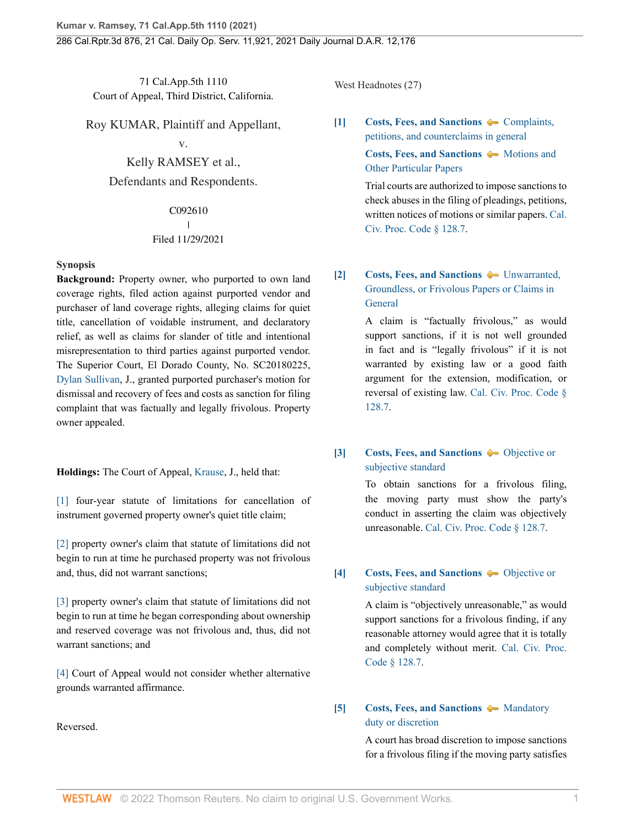71 Cal.App.5th 1110 Court of Appeal, Third District, California.

Roy KUMAR, Plaintiff and Appellant,

v.

Kelly RAMSEY et al.,

Defendants and Respondents.

#### C092610 I | Filed 11/29/2021

## **Synopsis**

**Background:** Property owner, who purported to own land coverage rights, filed action against purported vendor and purchaser of land coverage rights, alleging claims for quiet title, cancellation of voidable instrument, and declaratory relief, as well as claims for slander of title and intentional misrepresentation to third parties against purported vendor. The Superior Court, El Dorado County, No. SC20180225, [Dylan Sullivan,](http://www.westlaw.com/Link/Document/FullText?findType=h&pubNum=176284&cite=0487256201&originatingDoc=I0bc138e0516211ec9a6bc126e12e934d&refType=RQ&originationContext=document&vr=3.0&rs=cblt1.0&transitionType=DocumentItem&contextData=(sc.History*oc.CustomDigest)) J., granted purported purchaser's motion for dismissal and recovery of fees and costs as sanction for filing complaint that was factually and legally frivolous. Property owner appealed.

**Holdings:** The Court of Appeal, [Krause](http://www.westlaw.com/Link/Document/FullText?findType=h&pubNum=176284&cite=0514679501&originatingDoc=I0bc138e0516211ec9a6bc126e12e934d&refType=RQ&originationContext=document&vr=3.0&rs=cblt1.0&transitionType=DocumentItem&contextData=(sc.History*oc.CustomDigest)), J., held that:

[\[1\]](#page-1-0) four-year statute of limitations for cancellation of instrument governed property owner's quiet title claim;

[\[2\]](#page-2-0) property owner's claim that statute of limitations did not begin to run at time he purchased property was not frivolous and, thus, did not warrant sanctions;

[\[3\]](#page-2-1) property owner's claim that statute of limitations did not begin to run at time he began corresponding about ownership and reserved coverage was not frivolous and, thus, did not warrant sanctions; and

[\[4\]](#page-3-0) Court of Appeal would not consider whether alternative grounds warranted affirmance.

Reversed.

West Headnotes (27)

<span id="page-0-0"></span>**[\[1\]](#page-7-0) [Costs, Fees, and Sanctions](http://www.westlaw.com/Browse/Home/KeyNumber/102/View.html?docGuid=I0bc138e0516211ec9a6bc126e12e934d&originationContext=document&vr=3.0&rs=cblt1.0&transitionType=DocumentItem&contextData=(sc.History*oc.CustomDigest))**  $\blacklozenge$  **Complaints**, [petitions, and counterclaims in general](http://www.westlaw.com/Browse/Home/KeyNumber/102k1222/View.html?docGuid=I0bc138e0516211ec9a6bc126e12e934d&originationContext=document&vr=3.0&rs=cblt1.0&transitionType=DocumentItem&contextData=(sc.History*oc.CustomDigest)) **[Costs, Fees, and Sanctions](http://www.westlaw.com/Browse/Home/KeyNumber/102/View.html?docGuid=I0bc138e0516211ec9a6bc126e12e934d&originationContext=document&vr=3.0&rs=cblt1.0&transitionType=DocumentItem&contextData=(sc.History*oc.CustomDigest))**  $\blacklozenge$  [Motions and](http://www.westlaw.com/Browse/Home/KeyNumber/102VI(B)3/View.html?docGuid=I0bc138e0516211ec9a6bc126e12e934d&originationContext=document&vr=3.0&rs=cblt1.0&transitionType=DocumentItem&contextData=(sc.History*oc.CustomDigest)) [Other Particular Papers](http://www.westlaw.com/Browse/Home/KeyNumber/102VI(B)3/View.html?docGuid=I0bc138e0516211ec9a6bc126e12e934d&originationContext=document&vr=3.0&rs=cblt1.0&transitionType=DocumentItem&contextData=(sc.History*oc.CustomDigest))

> Trial courts are authorized to impose sanctions to check abuses in the filing of pleadings, petitions, written notices of motions or similar papers. [Cal.](http://www.westlaw.com/Link/Document/FullText?findType=L&pubNum=1000201&cite=CACPS128.7&originatingDoc=I0bc138e0516211ec9a6bc126e12e934d&refType=LQ&originationContext=document&vr=3.0&rs=cblt1.0&transitionType=DocumentItem&contextData=(sc.History*oc.CustomDigest)) [Civ. Proc. Code § 128.7](http://www.westlaw.com/Link/Document/FullText?findType=L&pubNum=1000201&cite=CACPS128.7&originatingDoc=I0bc138e0516211ec9a6bc126e12e934d&refType=LQ&originationContext=document&vr=3.0&rs=cblt1.0&transitionType=DocumentItem&contextData=(sc.History*oc.CustomDigest)).

# <span id="page-0-1"></span>**[\[2\]](#page-7-1) [Costs, Fees, and Sanctions](http://www.westlaw.com/Browse/Home/KeyNumber/102/View.html?docGuid=I0bc138e0516211ec9a6bc126e12e934d&originationContext=document&vr=3.0&rs=cblt1.0&transitionType=DocumentItem&contextData=(sc.History*oc.CustomDigest))**  $\blacklozenge$  [Unwarranted,](http://www.westlaw.com/Browse/Home/KeyNumber/102k1203/View.html?docGuid=I0bc138e0516211ec9a6bc126e12e934d&originationContext=document&vr=3.0&rs=cblt1.0&transitionType=DocumentItem&contextData=(sc.History*oc.CustomDigest)) [Groundless, or Frivolous Papers or Claims in](http://www.westlaw.com/Browse/Home/KeyNumber/102k1203/View.html?docGuid=I0bc138e0516211ec9a6bc126e12e934d&originationContext=document&vr=3.0&rs=cblt1.0&transitionType=DocumentItem&contextData=(sc.History*oc.CustomDigest)) **[General](http://www.westlaw.com/Browse/Home/KeyNumber/102k1203/View.html?docGuid=I0bc138e0516211ec9a6bc126e12e934d&originationContext=document&vr=3.0&rs=cblt1.0&transitionType=DocumentItem&contextData=(sc.History*oc.CustomDigest))**

A claim is "factually frivolous," as would support sanctions, if it is not well grounded in fact and is "legally frivolous" if it is not warranted by existing law or a good faith argument for the extension, modification, or reversal of existing law. [Cal. Civ. Proc. Code §](http://www.westlaw.com/Link/Document/FullText?findType=L&pubNum=1000201&cite=CACPS128.7&originatingDoc=I0bc138e0516211ec9a6bc126e12e934d&refType=LQ&originationContext=document&vr=3.0&rs=cblt1.0&transitionType=DocumentItem&contextData=(sc.History*oc.CustomDigest)) [128.7](http://www.westlaw.com/Link/Document/FullText?findType=L&pubNum=1000201&cite=CACPS128.7&originatingDoc=I0bc138e0516211ec9a6bc126e12e934d&refType=LQ&originationContext=document&vr=3.0&rs=cblt1.0&transitionType=DocumentItem&contextData=(sc.History*oc.CustomDigest)).

# <span id="page-0-2"></span>**[\[3\]](#page-7-2) [Costs, Fees, and Sanctions](http://www.westlaw.com/Browse/Home/KeyNumber/102/View.html?docGuid=I0bc138e0516211ec9a6bc126e12e934d&originationContext=document&vr=3.0&rs=cblt1.0&transitionType=DocumentItem&contextData=(sc.History*oc.CustomDigest))**  $\bullet$  **[Objective or](http://www.westlaw.com/Browse/Home/KeyNumber/102k1208/View.html?docGuid=I0bc138e0516211ec9a6bc126e12e934d&originationContext=document&vr=3.0&rs=cblt1.0&transitionType=DocumentItem&contextData=(sc.History*oc.CustomDigest))** [subjective standard](http://www.westlaw.com/Browse/Home/KeyNumber/102k1208/View.html?docGuid=I0bc138e0516211ec9a6bc126e12e934d&originationContext=document&vr=3.0&rs=cblt1.0&transitionType=DocumentItem&contextData=(sc.History*oc.CustomDigest))

To obtain sanctions for a frivolous filing, the moving party must show the party's conduct in asserting the claim was objectively unreasonable. [Cal. Civ. Proc. Code § 128.7.](http://www.westlaw.com/Link/Document/FullText?findType=L&pubNum=1000201&cite=CACPS128.7&originatingDoc=I0bc138e0516211ec9a6bc126e12e934d&refType=LQ&originationContext=document&vr=3.0&rs=cblt1.0&transitionType=DocumentItem&contextData=(sc.History*oc.CustomDigest))

# <span id="page-0-3"></span>**[\[4\]](#page-7-3) [Costs, Fees, and Sanctions](http://www.westlaw.com/Browse/Home/KeyNumber/102/View.html?docGuid=I0bc138e0516211ec9a6bc126e12e934d&originationContext=document&vr=3.0&rs=cblt1.0&transitionType=DocumentItem&contextData=(sc.History*oc.CustomDigest))**  $\bullet$  **[Objective or](http://www.westlaw.com/Browse/Home/KeyNumber/102k1208/View.html?docGuid=I0bc138e0516211ec9a6bc126e12e934d&originationContext=document&vr=3.0&rs=cblt1.0&transitionType=DocumentItem&contextData=(sc.History*oc.CustomDigest))** [subjective standard](http://www.westlaw.com/Browse/Home/KeyNumber/102k1208/View.html?docGuid=I0bc138e0516211ec9a6bc126e12e934d&originationContext=document&vr=3.0&rs=cblt1.0&transitionType=DocumentItem&contextData=(sc.History*oc.CustomDigest))

A claim is "objectively unreasonable," as would support sanctions for a frivolous finding, if any reasonable attorney would agree that it is totally and completely without merit. [Cal. Civ. Proc.](http://www.westlaw.com/Link/Document/FullText?findType=L&pubNum=1000201&cite=CACPS128.7&originatingDoc=I0bc138e0516211ec9a6bc126e12e934d&refType=LQ&originationContext=document&vr=3.0&rs=cblt1.0&transitionType=DocumentItem&contextData=(sc.History*oc.CustomDigest)) [Code § 128.7](http://www.westlaw.com/Link/Document/FullText?findType=L&pubNum=1000201&cite=CACPS128.7&originatingDoc=I0bc138e0516211ec9a6bc126e12e934d&refType=LQ&originationContext=document&vr=3.0&rs=cblt1.0&transitionType=DocumentItem&contextData=(sc.History*oc.CustomDigest)).

# <span id="page-0-4"></span>**[\[5\]](#page-7-4) [Costs, Fees, and Sanctions](http://www.westlaw.com/Browse/Home/KeyNumber/102/View.html?docGuid=I0bc138e0516211ec9a6bc126e12e934d&originationContext=document&vr=3.0&rs=cblt1.0&transitionType=DocumentItem&contextData=(sc.History*oc.CustomDigest))**  $\rightarrow$  [Mandatory](http://www.westlaw.com/Browse/Home/KeyNumber/102k1196/View.html?docGuid=I0bc138e0516211ec9a6bc126e12e934d&originationContext=document&vr=3.0&rs=cblt1.0&transitionType=DocumentItem&contextData=(sc.History*oc.CustomDigest)) [duty or discretion](http://www.westlaw.com/Browse/Home/KeyNumber/102k1196/View.html?docGuid=I0bc138e0516211ec9a6bc126e12e934d&originationContext=document&vr=3.0&rs=cblt1.0&transitionType=DocumentItem&contextData=(sc.History*oc.CustomDigest))

A court has broad discretion to impose sanctions for a frivolous filing if the moving party satisfies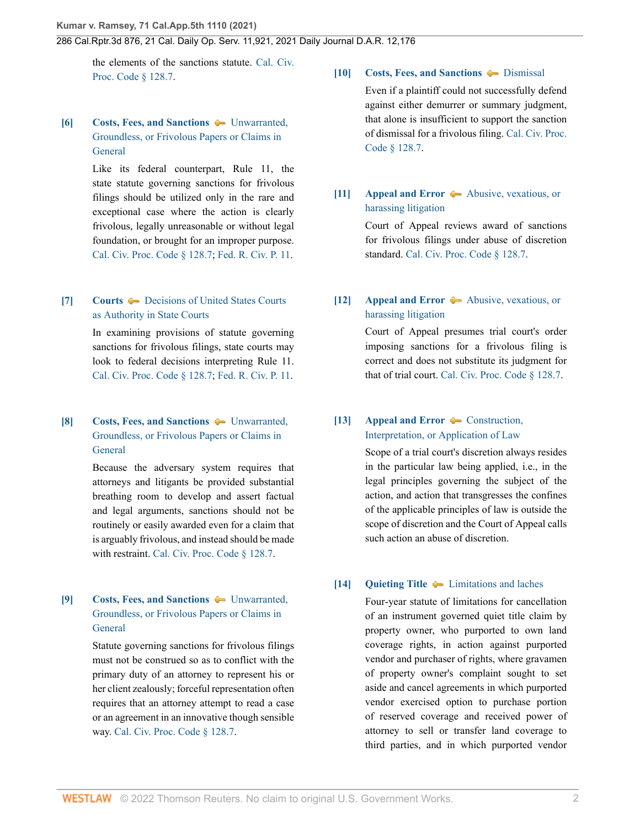the elements of the sanctions statute. [Cal. Civ.](http://www.westlaw.com/Link/Document/FullText?findType=L&pubNum=1000201&cite=CACPS128.7&originatingDoc=I0bc138e0516211ec9a6bc126e12e934d&refType=LQ&originationContext=document&vr=3.0&rs=cblt1.0&transitionType=DocumentItem&contextData=(sc.History*oc.CustomDigest)) [Proc. Code § 128.7](http://www.westlaw.com/Link/Document/FullText?findType=L&pubNum=1000201&cite=CACPS128.7&originatingDoc=I0bc138e0516211ec9a6bc126e12e934d&refType=LQ&originationContext=document&vr=3.0&rs=cblt1.0&transitionType=DocumentItem&contextData=(sc.History*oc.CustomDigest)).

# <span id="page-1-1"></span>**[\[6\]](#page-7-5) [Costs, Fees, and Sanctions](http://www.westlaw.com/Browse/Home/KeyNumber/102/View.html?docGuid=I0bc138e0516211ec9a6bc126e12e934d&originationContext=document&vr=3.0&rs=cblt1.0&transitionType=DocumentItem&contextData=(sc.History*oc.CustomDigest))**  $\blacktriangleright$  [Unwarranted,](http://www.westlaw.com/Browse/Home/KeyNumber/102k1203/View.html?docGuid=I0bc138e0516211ec9a6bc126e12e934d&originationContext=document&vr=3.0&rs=cblt1.0&transitionType=DocumentItem&contextData=(sc.History*oc.CustomDigest)) [Groundless, or Frivolous Papers or Claims in](http://www.westlaw.com/Browse/Home/KeyNumber/102k1203/View.html?docGuid=I0bc138e0516211ec9a6bc126e12e934d&originationContext=document&vr=3.0&rs=cblt1.0&transitionType=DocumentItem&contextData=(sc.History*oc.CustomDigest)) [General](http://www.westlaw.com/Browse/Home/KeyNumber/102k1203/View.html?docGuid=I0bc138e0516211ec9a6bc126e12e934d&originationContext=document&vr=3.0&rs=cblt1.0&transitionType=DocumentItem&contextData=(sc.History*oc.CustomDigest))

Like its federal counterpart, Rule 11, the state statute governing sanctions for frivolous filings should be utilized only in the rare and exceptional case where the action is clearly frivolous, legally unreasonable or without legal foundation, or brought for an improper purpose. [Cal. Civ. Proc. Code § 128.7](http://www.westlaw.com/Link/Document/FullText?findType=L&pubNum=1000201&cite=CACPS128.7&originatingDoc=I0bc138e0516211ec9a6bc126e12e934d&refType=LQ&originationContext=document&vr=3.0&rs=cblt1.0&transitionType=DocumentItem&contextData=(sc.History*oc.CustomDigest)); [Fed. R. Civ. P. 11.](http://www.westlaw.com/Link/Document/FullText?findType=L&pubNum=1000600&cite=USFRCPR11&originatingDoc=I0bc138e0516211ec9a6bc126e12e934d&refType=LQ&originationContext=document&vr=3.0&rs=cblt1.0&transitionType=DocumentItem&contextData=(sc.History*oc.CustomDigest))

## <span id="page-1-2"></span>**[\[7\]](#page-7-6) [Courts](http://www.westlaw.com/Browse/Home/KeyNumber/106/View.html?docGuid=I0bc138e0516211ec9a6bc126e12e934d&originationContext=document&vr=3.0&rs=cblt1.0&transitionType=DocumentItem&contextData=(sc.History*oc.CustomDigest))**  $\bullet$  **[Decisions of United States Courts](http://www.westlaw.com/Browse/Home/KeyNumber/106k97/View.html?docGuid=I0bc138e0516211ec9a6bc126e12e934d&originationContext=document&vr=3.0&rs=cblt1.0&transitionType=DocumentItem&contextData=(sc.History*oc.CustomDigest))** [as Authority in State Courts](http://www.westlaw.com/Browse/Home/KeyNumber/106k97/View.html?docGuid=I0bc138e0516211ec9a6bc126e12e934d&originationContext=document&vr=3.0&rs=cblt1.0&transitionType=DocumentItem&contextData=(sc.History*oc.CustomDigest))

In examining provisions of statute governing sanctions for frivolous filings, state courts may look to federal decisions interpreting Rule 11. [Cal. Civ. Proc. Code § 128.7](http://www.westlaw.com/Link/Document/FullText?findType=L&pubNum=1000201&cite=CACPS128.7&originatingDoc=I0bc138e0516211ec9a6bc126e12e934d&refType=LQ&originationContext=document&vr=3.0&rs=cblt1.0&transitionType=DocumentItem&contextData=(sc.History*oc.CustomDigest)); [Fed. R. Civ. P. 11.](http://www.westlaw.com/Link/Document/FullText?findType=L&pubNum=1000600&cite=USFRCPR11&originatingDoc=I0bc138e0516211ec9a6bc126e12e934d&refType=LQ&originationContext=document&vr=3.0&rs=cblt1.0&transitionType=DocumentItem&contextData=(sc.History*oc.CustomDigest))

# <span id="page-1-3"></span>**[\[8\]](#page-7-7) [Costs, Fees, and Sanctions](http://www.westlaw.com/Browse/Home/KeyNumber/102/View.html?docGuid=I0bc138e0516211ec9a6bc126e12e934d&originationContext=document&vr=3.0&rs=cblt1.0&transitionType=DocumentItem&contextData=(sc.History*oc.CustomDigest))**  $\bullet$  [Unwarranted,](http://www.westlaw.com/Browse/Home/KeyNumber/102k1203/View.html?docGuid=I0bc138e0516211ec9a6bc126e12e934d&originationContext=document&vr=3.0&rs=cblt1.0&transitionType=DocumentItem&contextData=(sc.History*oc.CustomDigest)) [Groundless, or Frivolous Papers or Claims in](http://www.westlaw.com/Browse/Home/KeyNumber/102k1203/View.html?docGuid=I0bc138e0516211ec9a6bc126e12e934d&originationContext=document&vr=3.0&rs=cblt1.0&transitionType=DocumentItem&contextData=(sc.History*oc.CustomDigest)) **[General](http://www.westlaw.com/Browse/Home/KeyNumber/102k1203/View.html?docGuid=I0bc138e0516211ec9a6bc126e12e934d&originationContext=document&vr=3.0&rs=cblt1.0&transitionType=DocumentItem&contextData=(sc.History*oc.CustomDigest))**

Because the adversary system requires that attorneys and litigants be provided substantial breathing room to develop and assert factual and legal arguments, sanctions should not be routinely or easily awarded even for a claim that is arguably frivolous, and instead should be made with restraint. [Cal. Civ. Proc. Code § 128.7](http://www.westlaw.com/Link/Document/FullText?findType=L&pubNum=1000201&cite=CACPS128.7&originatingDoc=I0bc138e0516211ec9a6bc126e12e934d&refType=LQ&originationContext=document&vr=3.0&rs=cblt1.0&transitionType=DocumentItem&contextData=(sc.History*oc.CustomDigest)).

## <span id="page-1-4"></span>**[\[9\]](#page-7-8) [Costs, Fees, and Sanctions](http://www.westlaw.com/Browse/Home/KeyNumber/102/View.html?docGuid=I0bc138e0516211ec9a6bc126e12e934d&originationContext=document&vr=3.0&rs=cblt1.0&transitionType=DocumentItem&contextData=(sc.History*oc.CustomDigest))**  $\blacklozenge$  [Unwarranted,](http://www.westlaw.com/Browse/Home/KeyNumber/102k1203/View.html?docGuid=I0bc138e0516211ec9a6bc126e12e934d&originationContext=document&vr=3.0&rs=cblt1.0&transitionType=DocumentItem&contextData=(sc.History*oc.CustomDigest)) [Groundless, or Frivolous Papers or Claims in](http://www.westlaw.com/Browse/Home/KeyNumber/102k1203/View.html?docGuid=I0bc138e0516211ec9a6bc126e12e934d&originationContext=document&vr=3.0&rs=cblt1.0&transitionType=DocumentItem&contextData=(sc.History*oc.CustomDigest)) **[General](http://www.westlaw.com/Browse/Home/KeyNumber/102k1203/View.html?docGuid=I0bc138e0516211ec9a6bc126e12e934d&originationContext=document&vr=3.0&rs=cblt1.0&transitionType=DocumentItem&contextData=(sc.History*oc.CustomDigest))**

Statute governing sanctions for frivolous filings must not be construed so as to conflict with the primary duty of an attorney to represent his or her client zealously; forceful representation often requires that an attorney attempt to read a case or an agreement in an innovative though sensible way. [Cal. Civ. Proc. Code § 128.7](http://www.westlaw.com/Link/Document/FullText?findType=L&pubNum=1000201&cite=CACPS128.7&originatingDoc=I0bc138e0516211ec9a6bc126e12e934d&refType=LQ&originationContext=document&vr=3.0&rs=cblt1.0&transitionType=DocumentItem&contextData=(sc.History*oc.CustomDigest)).

# <span id="page-1-5"></span>**[\[10\]](#page-7-9) [Costs, Fees, and Sanctions](http://www.westlaw.com/Browse/Home/KeyNumber/102/View.html?docGuid=I0bc138e0516211ec9a6bc126e12e934d&originationContext=document&vr=3.0&rs=cblt1.0&transitionType=DocumentItem&contextData=(sc.History*oc.CustomDigest))**  $\blacklozenge$  **[Dismissal](http://www.westlaw.com/Browse/Home/KeyNumber/102k1323/View.html?docGuid=I0bc138e0516211ec9a6bc126e12e934d&originationContext=document&vr=3.0&rs=cblt1.0&transitionType=DocumentItem&contextData=(sc.History*oc.CustomDigest))** Even if a plaintiff could not successfully defend against either demurrer or summary judgment, that alone is insufficient to support the sanction of dismissal for a frivolous filing. [Cal. Civ. Proc.](http://www.westlaw.com/Link/Document/FullText?findType=L&pubNum=1000201&cite=CACPS128.7&originatingDoc=I0bc138e0516211ec9a6bc126e12e934d&refType=LQ&originationContext=document&vr=3.0&rs=cblt1.0&transitionType=DocumentItem&contextData=(sc.History*oc.CustomDigest)) [Code § 128.7](http://www.westlaw.com/Link/Document/FullText?findType=L&pubNum=1000201&cite=CACPS128.7&originatingDoc=I0bc138e0516211ec9a6bc126e12e934d&refType=LQ&originationContext=document&vr=3.0&rs=cblt1.0&transitionType=DocumentItem&contextData=(sc.History*oc.CustomDigest)).

## <span id="page-1-6"></span>**[\[11\]](#page-7-10) [Appeal and Error](http://www.westlaw.com/Browse/Home/KeyNumber/30/View.html?docGuid=I0bc138e0516211ec9a6bc126e12e934d&originationContext=document&vr=3.0&rs=cblt1.0&transitionType=DocumentItem&contextData=(sc.History*oc.CustomDigest))**  $\rightarrow$  [Abusive, vexatious, or](http://www.westlaw.com/Browse/Home/KeyNumber/30k3260/View.html?docGuid=I0bc138e0516211ec9a6bc126e12e934d&originationContext=document&vr=3.0&rs=cblt1.0&transitionType=DocumentItem&contextData=(sc.History*oc.CustomDigest)) [harassing litigation](http://www.westlaw.com/Browse/Home/KeyNumber/30k3260/View.html?docGuid=I0bc138e0516211ec9a6bc126e12e934d&originationContext=document&vr=3.0&rs=cblt1.0&transitionType=DocumentItem&contextData=(sc.History*oc.CustomDigest))

Court of Appeal reviews award of sanctions for frivolous filings under abuse of discretion standard. [Cal. Civ. Proc. Code § 128.7.](http://www.westlaw.com/Link/Document/FullText?findType=L&pubNum=1000201&cite=CACPS128.7&originatingDoc=I0bc138e0516211ec9a6bc126e12e934d&refType=LQ&originationContext=document&vr=3.0&rs=cblt1.0&transitionType=DocumentItem&contextData=(sc.History*oc.CustomDigest))

# <span id="page-1-7"></span>**[\[12\]](#page-7-11) [Appeal and Error](http://www.westlaw.com/Browse/Home/KeyNumber/30/View.html?docGuid=I0bc138e0516211ec9a6bc126e12e934d&originationContext=document&vr=3.0&rs=cblt1.0&transitionType=DocumentItem&contextData=(sc.History*oc.CustomDigest))**  $\blacktriangleright$  **Abusive**, vexatious, or [harassing litigation](http://www.westlaw.com/Browse/Home/KeyNumber/30k3985/View.html?docGuid=I0bc138e0516211ec9a6bc126e12e934d&originationContext=document&vr=3.0&rs=cblt1.0&transitionType=DocumentItem&contextData=(sc.History*oc.CustomDigest))

Court of Appeal presumes trial court's order imposing sanctions for a frivolous filing is correct and does not substitute its judgment for that of trial court. [Cal. Civ. Proc. Code § 128.7](http://www.westlaw.com/Link/Document/FullText?findType=L&pubNum=1000201&cite=CACPS128.7&originatingDoc=I0bc138e0516211ec9a6bc126e12e934d&refType=LQ&originationContext=document&vr=3.0&rs=cblt1.0&transitionType=DocumentItem&contextData=(sc.History*oc.CustomDigest)).

# <span id="page-1-8"></span>**[\[13\]](#page-7-12) [Appeal and Error](http://www.westlaw.com/Browse/Home/KeyNumber/30/View.html?docGuid=I0bc138e0516211ec9a6bc126e12e934d&originationContext=document&vr=3.0&rs=cblt1.0&transitionType=DocumentItem&contextData=(sc.History*oc.CustomDigest))**  $\blacklozenge$  **[Construction,](http://www.westlaw.com/Browse/Home/KeyNumber/30k3169/View.html?docGuid=I0bc138e0516211ec9a6bc126e12e934d&originationContext=document&vr=3.0&rs=cblt1.0&transitionType=DocumentItem&contextData=(sc.History*oc.CustomDigest))** [Interpretation, or Application of Law](http://www.westlaw.com/Browse/Home/KeyNumber/30k3169/View.html?docGuid=I0bc138e0516211ec9a6bc126e12e934d&originationContext=document&vr=3.0&rs=cblt1.0&transitionType=DocumentItem&contextData=(sc.History*oc.CustomDigest))

Scope of a trial court's discretion always resides in the particular law being applied, i.e., in the legal principles governing the subject of the action, and action that transgresses the confines of the applicable principles of law is outside the scope of discretion and the Court of Appeal calls such action an abuse of discretion.

### <span id="page-1-0"></span>**[\[14\]](#page-8-0) [Quieting Title](http://www.westlaw.com/Browse/Home/KeyNumber/318/View.html?docGuid=I0bc138e0516211ec9a6bc126e12e934d&originationContext=document&vr=3.0&rs=cblt1.0&transitionType=DocumentItem&contextData=(sc.History*oc.CustomDigest))**  $\blacklozenge$  [Limitations and laches](http://www.westlaw.com/Browse/Home/KeyNumber/318k29/View.html?docGuid=I0bc138e0516211ec9a6bc126e12e934d&originationContext=document&vr=3.0&rs=cblt1.0&transitionType=DocumentItem&contextData=(sc.History*oc.CustomDigest))

Four-year statute of limitations for cancellation of an instrument governed quiet title claim by property owner, who purported to own land coverage rights, in action against purported vendor and purchaser of rights, where gravamen of property owner's complaint sought to set aside and cancel agreements in which purported vendor exercised option to purchase portion of reserved coverage and received power of attorney to sell or transfer land coverage to third parties, and in which purported vendor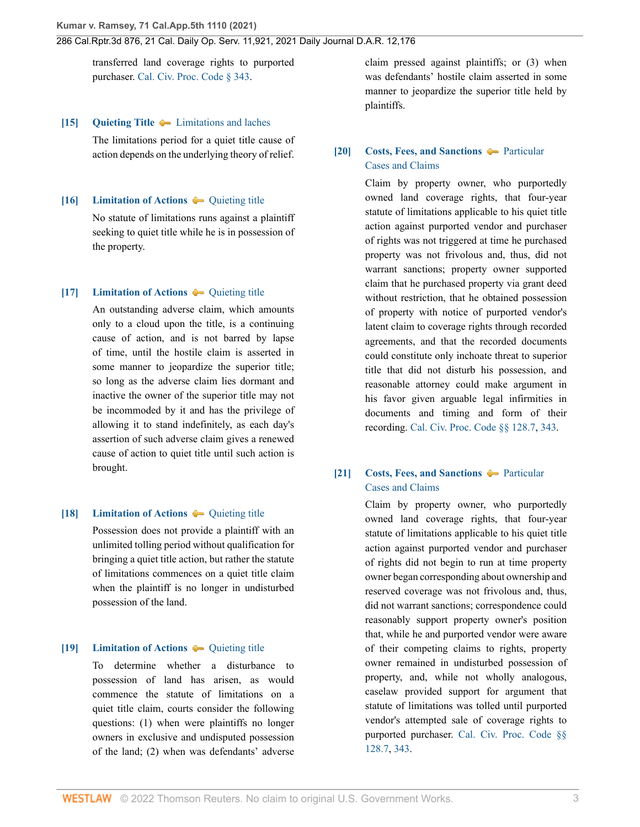transferred land coverage rights to purported purchaser. [Cal. Civ. Proc. Code § 343.](http://www.westlaw.com/Link/Document/FullText?findType=L&pubNum=1000201&cite=CACPS343&originatingDoc=I0bc138e0516211ec9a6bc126e12e934d&refType=LQ&originationContext=document&vr=3.0&rs=cblt1.0&transitionType=DocumentItem&contextData=(sc.History*oc.CustomDigest))

#### <span id="page-2-2"></span>**[\[15\]](#page-8-1) [Quieting Title](http://www.westlaw.com/Browse/Home/KeyNumber/318/View.html?docGuid=I0bc138e0516211ec9a6bc126e12e934d&originationContext=document&vr=3.0&rs=cblt1.0&transitionType=DocumentItem&contextData=(sc.History*oc.CustomDigest))** [Limitations and laches](http://www.westlaw.com/Browse/Home/KeyNumber/318k29/View.html?docGuid=I0bc138e0516211ec9a6bc126e12e934d&originationContext=document&vr=3.0&rs=cblt1.0&transitionType=DocumentItem&contextData=(sc.History*oc.CustomDigest))

The limitations period for a quiet title cause of action depends on the underlying theory of relief.

### <span id="page-2-3"></span>**[\[16\]](#page-8-2) [Limitation of Actions](http://www.westlaw.com/Browse/Home/KeyNumber/241/View.html?docGuid=I0bc138e0516211ec9a6bc126e12e934d&originationContext=document&vr=3.0&rs=cblt1.0&transitionType=DocumentItem&contextData=(sc.History*oc.CustomDigest))**  $\rightarrow$  [Quieting title](http://www.westlaw.com/Browse/Home/KeyNumber/241k60(10)/View.html?docGuid=I0bc138e0516211ec9a6bc126e12e934d&originationContext=document&vr=3.0&rs=cblt1.0&transitionType=DocumentItem&contextData=(sc.History*oc.CustomDigest))

No statute of limitations runs against a plaintiff seeking to quiet title while he is in possession of the property.

#### <span id="page-2-4"></span>**[\[17\]](#page-8-3) [Limitation of Actions](http://www.westlaw.com/Browse/Home/KeyNumber/241/View.html?docGuid=I0bc138e0516211ec9a6bc126e12e934d&originationContext=document&vr=3.0&rs=cblt1.0&transitionType=DocumentItem&contextData=(sc.History*oc.CustomDigest))**  $\rightarrow$  [Quieting title](http://www.westlaw.com/Browse/Home/KeyNumber/241k60(10)/View.html?docGuid=I0bc138e0516211ec9a6bc126e12e934d&originationContext=document&vr=3.0&rs=cblt1.0&transitionType=DocumentItem&contextData=(sc.History*oc.CustomDigest))

An outstanding adverse claim, which amounts only to a cloud upon the title, is a continuing cause of action, and is not barred by lapse of time, until the hostile claim is asserted in some manner to jeopardize the superior title; so long as the adverse claim lies dormant and inactive the owner of the superior title may not be incommoded by it and has the privilege of allowing it to stand indefinitely, as each day's assertion of such adverse claim gives a renewed cause of action to quiet title until such action is brought.

### <span id="page-2-5"></span>**[\[18\]](#page-8-4) [Limitation of Actions](http://www.westlaw.com/Browse/Home/KeyNumber/241/View.html?docGuid=I0bc138e0516211ec9a6bc126e12e934d&originationContext=document&vr=3.0&rs=cblt1.0&transitionType=DocumentItem&contextData=(sc.History*oc.CustomDigest))**  $\rightarrow$  [Quieting title](http://www.westlaw.com/Browse/Home/KeyNumber/241k60(10)/View.html?docGuid=I0bc138e0516211ec9a6bc126e12e934d&originationContext=document&vr=3.0&rs=cblt1.0&transitionType=DocumentItem&contextData=(sc.History*oc.CustomDigest))

Possession does not provide a plaintiff with an unlimited tolling period without qualification for bringing a quiet title action, but rather the statute of limitations commences on a quiet title claim when the plaintiff is no longer in undisturbed possession of the land.

## <span id="page-2-6"></span>**[\[19\]](#page-8-5) [Limitation of Actions](http://www.westlaw.com/Browse/Home/KeyNumber/241/View.html?docGuid=I0bc138e0516211ec9a6bc126e12e934d&originationContext=document&vr=3.0&rs=cblt1.0&transitionType=DocumentItem&contextData=(sc.History*oc.CustomDigest))**  $\rightarrow$  [Quieting title](http://www.westlaw.com/Browse/Home/KeyNumber/241k60(10)/View.html?docGuid=I0bc138e0516211ec9a6bc126e12e934d&originationContext=document&vr=3.0&rs=cblt1.0&transitionType=DocumentItem&contextData=(sc.History*oc.CustomDigest))

To determine whether a disturbance to possession of land has arisen, as would commence the statute of limitations on a quiet title claim, courts consider the following questions: (1) when were plaintiffs no longer owners in exclusive and undisputed possession of the land; (2) when was defendants' adverse claim pressed against plaintiffs; or (3) when was defendants' hostile claim asserted in some manner to jeopardize the superior title held by plaintiffs.

## <span id="page-2-0"></span>**[\[20\]](#page-8-6) [Costs, Fees, and Sanctions](http://www.westlaw.com/Browse/Home/KeyNumber/102/View.html?docGuid=I0bc138e0516211ec9a6bc126e12e934d&originationContext=document&vr=3.0&rs=cblt1.0&transitionType=DocumentItem&contextData=(sc.History*oc.CustomDigest))**  $\rightarrow$  [Particular](http://www.westlaw.com/Browse/Home/KeyNumber/102k1223/View.html?docGuid=I0bc138e0516211ec9a6bc126e12e934d&originationContext=document&vr=3.0&rs=cblt1.0&transitionType=DocumentItem&contextData=(sc.History*oc.CustomDigest)) [Cases and Claims](http://www.westlaw.com/Browse/Home/KeyNumber/102k1223/View.html?docGuid=I0bc138e0516211ec9a6bc126e12e934d&originationContext=document&vr=3.0&rs=cblt1.0&transitionType=DocumentItem&contextData=(sc.History*oc.CustomDigest))

Claim by property owner, who purportedly owned land coverage rights, that four-year statute of limitations applicable to his quiet title action against purported vendor and purchaser of rights was not triggered at time he purchased property was not frivolous and, thus, did not warrant sanctions; property owner supported claim that he purchased property via grant deed without restriction, that he obtained possession of property with notice of purported vendor's latent claim to coverage rights through recorded agreements, and that the recorded documents could constitute only inchoate threat to superior title that did not disturb his possession, and reasonable attorney could make argument in his favor given arguable legal infirmities in documents and timing and form of their recording. [Cal. Civ. Proc. Code §§ 128.7](http://www.westlaw.com/Link/Document/FullText?findType=L&pubNum=1000201&cite=CACPS128.7&originatingDoc=I0bc138e0516211ec9a6bc126e12e934d&refType=LQ&originationContext=document&vr=3.0&rs=cblt1.0&transitionType=DocumentItem&contextData=(sc.History*oc.CustomDigest)), [343](http://www.westlaw.com/Link/Document/FullText?findType=L&pubNum=1000201&cite=CACPS343&originatingDoc=I0bc138e0516211ec9a6bc126e12e934d&refType=LQ&originationContext=document&vr=3.0&rs=cblt1.0&transitionType=DocumentItem&contextData=(sc.History*oc.CustomDigest)).

# <span id="page-2-1"></span>**[\[21\]](#page-9-0) [Costs, Fees, and Sanctions](http://www.westlaw.com/Browse/Home/KeyNumber/102/View.html?docGuid=I0bc138e0516211ec9a6bc126e12e934d&originationContext=document&vr=3.0&rs=cblt1.0&transitionType=DocumentItem&contextData=(sc.History*oc.CustomDigest)) [Particular](http://www.westlaw.com/Browse/Home/KeyNumber/102k1223/View.html?docGuid=I0bc138e0516211ec9a6bc126e12e934d&originationContext=document&vr=3.0&rs=cblt1.0&transitionType=DocumentItem&contextData=(sc.History*oc.CustomDigest))** [Cases and Claims](http://www.westlaw.com/Browse/Home/KeyNumber/102k1223/View.html?docGuid=I0bc138e0516211ec9a6bc126e12e934d&originationContext=document&vr=3.0&rs=cblt1.0&transitionType=DocumentItem&contextData=(sc.History*oc.CustomDigest))

Claim by property owner, who purportedly owned land coverage rights, that four-year statute of limitations applicable to his quiet title action against purported vendor and purchaser of rights did not begin to run at time property owner began corresponding about ownership and reserved coverage was not frivolous and, thus, did not warrant sanctions; correspondence could reasonably support property owner's position that, while he and purported vendor were aware of their competing claims to rights, property owner remained in undisturbed possession of property, and, while not wholly analogous, caselaw provided support for argument that statute of limitations was tolled until purported vendor's attempted sale of coverage rights to purported purchaser. [Cal. Civ. Proc. Code §§](http://www.westlaw.com/Link/Document/FullText?findType=L&pubNum=1000201&cite=CACPS128.7&originatingDoc=I0bc138e0516211ec9a6bc126e12e934d&refType=LQ&originationContext=document&vr=3.0&rs=cblt1.0&transitionType=DocumentItem&contextData=(sc.History*oc.CustomDigest)) [128.7](http://www.westlaw.com/Link/Document/FullText?findType=L&pubNum=1000201&cite=CACPS128.7&originatingDoc=I0bc138e0516211ec9a6bc126e12e934d&refType=LQ&originationContext=document&vr=3.0&rs=cblt1.0&transitionType=DocumentItem&contextData=(sc.History*oc.CustomDigest)), [343](http://www.westlaw.com/Link/Document/FullText?findType=L&pubNum=1000201&cite=CACPS343&originatingDoc=I0bc138e0516211ec9a6bc126e12e934d&refType=LQ&originationContext=document&vr=3.0&rs=cblt1.0&transitionType=DocumentItem&contextData=(sc.History*oc.CustomDigest)).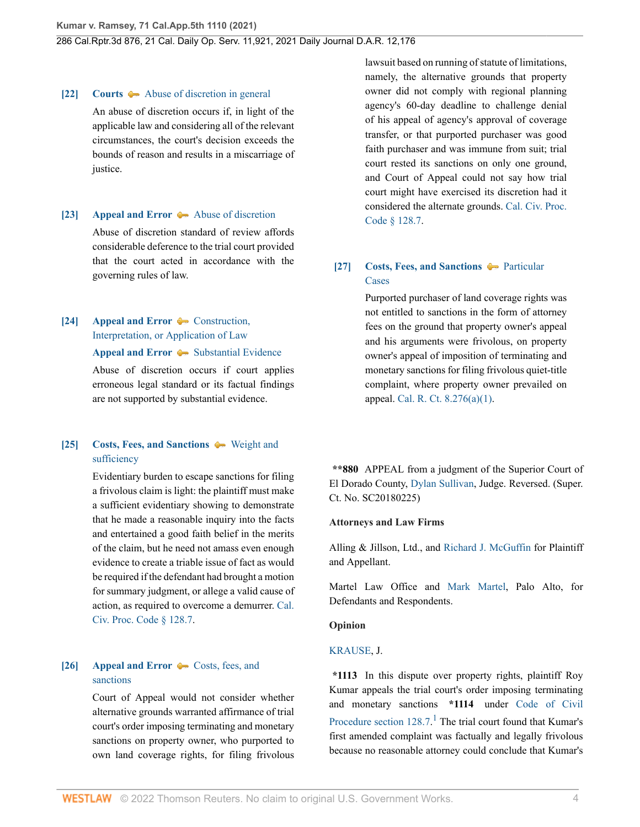#### <span id="page-3-1"></span>**[\[22\]](#page-10-0) [Courts](http://www.westlaw.com/Browse/Home/KeyNumber/106/View.html?docGuid=I0bc138e0516211ec9a6bc126e12e934d&originationContext=document&vr=3.0&rs=cblt1.0&transitionType=DocumentItem&contextData=(sc.History*oc.CustomDigest))**  $\blacktriangleright$  **[Abuse of discretion in general](http://www.westlaw.com/Browse/Home/KeyNumber/106k26(3)/View.html?docGuid=I0bc138e0516211ec9a6bc126e12e934d&originationContext=document&vr=3.0&rs=cblt1.0&transitionType=DocumentItem&contextData=(sc.History*oc.CustomDigest))**

An abuse of discretion occurs if, in light of the applicable law and considering all of the relevant circumstances, the court's decision exceeds the bounds of reason and results in a miscarriage of justice.

### <span id="page-3-2"></span>**[\[23\]](#page-10-1) [Appeal and Error](http://www.westlaw.com/Browse/Home/KeyNumber/30/View.html?docGuid=I0bc138e0516211ec9a6bc126e12e934d&originationContext=document&vr=3.0&rs=cblt1.0&transitionType=DocumentItem&contextData=(sc.History*oc.CustomDigest))**  $\blacklozenge$  **[Abuse of discretion](http://www.westlaw.com/Browse/Home/KeyNumber/30k3141/View.html?docGuid=I0bc138e0516211ec9a6bc126e12e934d&originationContext=document&vr=3.0&rs=cblt1.0&transitionType=DocumentItem&contextData=(sc.History*oc.CustomDigest))**

Abuse of discretion standard of review affords considerable deference to the trial court provided that the court acted in accordance with the governing rules of law.

## <span id="page-3-3"></span>**[\[24\]](#page-10-2) [Appeal and Error](http://www.westlaw.com/Browse/Home/KeyNumber/30/View.html?docGuid=I0bc138e0516211ec9a6bc126e12e934d&originationContext=document&vr=3.0&rs=cblt1.0&transitionType=DocumentItem&contextData=(sc.History*oc.CustomDigest))**  $\leftarrow$  [Construction,](http://www.westlaw.com/Browse/Home/KeyNumber/30k3169/View.html?docGuid=I0bc138e0516211ec9a6bc126e12e934d&originationContext=document&vr=3.0&rs=cblt1.0&transitionType=DocumentItem&contextData=(sc.History*oc.CustomDigest)) [Interpretation, or Application of Law](http://www.westlaw.com/Browse/Home/KeyNumber/30k3169/View.html?docGuid=I0bc138e0516211ec9a6bc126e12e934d&originationContext=document&vr=3.0&rs=cblt1.0&transitionType=DocumentItem&contextData=(sc.History*oc.CustomDigest))

#### **[Appeal and Error](http://www.westlaw.com/Browse/Home/KeyNumber/30/View.html?docGuid=I0bc138e0516211ec9a6bc126e12e934d&originationContext=document&vr=3.0&rs=cblt1.0&transitionType=DocumentItem&contextData=(sc.History*oc.CustomDigest))**  $\blacklozenge$  [Substantial Evidence](http://www.westlaw.com/Browse/Home/KeyNumber/30k3459/View.html?docGuid=I0bc138e0516211ec9a6bc126e12e934d&originationContext=document&vr=3.0&rs=cblt1.0&transitionType=DocumentItem&contextData=(sc.History*oc.CustomDigest))

Abuse of discretion occurs if court applies erroneous legal standard or its factual findings are not supported by substantial evidence.

## <span id="page-3-4"></span>**[\[25\]](#page-10-3) [Costs, Fees, and Sanctions](http://www.westlaw.com/Browse/Home/KeyNumber/102/View.html?docGuid=I0bc138e0516211ec9a6bc126e12e934d&originationContext=document&vr=3.0&rs=cblt1.0&transitionType=DocumentItem&contextData=(sc.History*oc.CustomDigest))**  $\blacklozenge$  **[Weight and](http://www.westlaw.com/Browse/Home/KeyNumber/102k1348/View.html?docGuid=I0bc138e0516211ec9a6bc126e12e934d&originationContext=document&vr=3.0&rs=cblt1.0&transitionType=DocumentItem&contextData=(sc.History*oc.CustomDigest))** [sufficiency](http://www.westlaw.com/Browse/Home/KeyNumber/102k1348/View.html?docGuid=I0bc138e0516211ec9a6bc126e12e934d&originationContext=document&vr=3.0&rs=cblt1.0&transitionType=DocumentItem&contextData=(sc.History*oc.CustomDigest))

Evidentiary burden to escape sanctions for filing a frivolous claim is light: the plaintiff must make a sufficient evidentiary showing to demonstrate that he made a reasonable inquiry into the facts and entertained a good faith belief in the merits of the claim, but he need not amass even enough evidence to create a triable issue of fact as would be required if the defendant had brought a motion for summary judgment, or allege a valid cause of action, as required to overcome a demurrer. [Cal.](http://www.westlaw.com/Link/Document/FullText?findType=L&pubNum=1000201&cite=CACPS128.7&originatingDoc=I0bc138e0516211ec9a6bc126e12e934d&refType=LQ&originationContext=document&vr=3.0&rs=cblt1.0&transitionType=DocumentItem&contextData=(sc.History*oc.CustomDigest)) [Civ. Proc. Code § 128.7](http://www.westlaw.com/Link/Document/FullText?findType=L&pubNum=1000201&cite=CACPS128.7&originatingDoc=I0bc138e0516211ec9a6bc126e12e934d&refType=LQ&originationContext=document&vr=3.0&rs=cblt1.0&transitionType=DocumentItem&contextData=(sc.History*oc.CustomDigest)).

# <span id="page-3-0"></span>**[\[26\]](#page-10-4) [Appeal and Error](http://www.westlaw.com/Browse/Home/KeyNumber/30/View.html?docGuid=I0bc138e0516211ec9a6bc126e12e934d&originationContext=document&vr=3.0&rs=cblt1.0&transitionType=DocumentItem&contextData=(sc.History*oc.CustomDigest))**  $\bullet$  **Costs**, fees, and [sanctions](http://www.westlaw.com/Browse/Home/KeyNumber/30k4077/View.html?docGuid=I0bc138e0516211ec9a6bc126e12e934d&originationContext=document&vr=3.0&rs=cblt1.0&transitionType=DocumentItem&contextData=(sc.History*oc.CustomDigest))

Court of Appeal would not consider whether alternative grounds warranted affirmance of trial court's order imposing terminating and monetary sanctions on property owner, who purported to own land coverage rights, for filing frivolous lawsuit based on running of statute of limitations, namely, the alternative grounds that property owner did not comply with regional planning agency's 60-day deadline to challenge denial of his appeal of agency's approval of coverage transfer, or that purported purchaser was good faith purchaser and was immune from suit; trial court rested its sanctions on only one ground, and Court of Appeal could not say how trial court might have exercised its discretion had it considered the alternate grounds. [Cal. Civ. Proc.](http://www.westlaw.com/Link/Document/FullText?findType=L&pubNum=1000201&cite=CACPS128.7&originatingDoc=I0bc138e0516211ec9a6bc126e12e934d&refType=LQ&originationContext=document&vr=3.0&rs=cblt1.0&transitionType=DocumentItem&contextData=(sc.History*oc.CustomDigest)) [Code § 128.7](http://www.westlaw.com/Link/Document/FullText?findType=L&pubNum=1000201&cite=CACPS128.7&originatingDoc=I0bc138e0516211ec9a6bc126e12e934d&refType=LQ&originationContext=document&vr=3.0&rs=cblt1.0&transitionType=DocumentItem&contextData=(sc.History*oc.CustomDigest)).

# <span id="page-3-5"></span>**[\[27\]](#page-10-5) [Costs, Fees, and Sanctions](http://www.westlaw.com/Browse/Home/KeyNumber/102/View.html?docGuid=I0bc138e0516211ec9a6bc126e12e934d&originationContext=document&vr=3.0&rs=cblt1.0&transitionType=DocumentItem&contextData=(sc.History*oc.CustomDigest)) [Particular](http://www.westlaw.com/Browse/Home/KeyNumber/102k1369/View.html?docGuid=I0bc138e0516211ec9a6bc126e12e934d&originationContext=document&vr=3.0&rs=cblt1.0&transitionType=DocumentItem&contextData=(sc.History*oc.CustomDigest))** [Cases](http://www.westlaw.com/Browse/Home/KeyNumber/102k1369/View.html?docGuid=I0bc138e0516211ec9a6bc126e12e934d&originationContext=document&vr=3.0&rs=cblt1.0&transitionType=DocumentItem&contextData=(sc.History*oc.CustomDigest))

Purported purchaser of land coverage rights was not entitled to sanctions in the form of attorney fees on the ground that property owner's appeal and his arguments were frivolous, on property owner's appeal of imposition of terminating and monetary sanctions for filing frivolous quiet-title complaint, where property owner prevailed on appeal. [Cal. R. Ct. 8.276\(a\)\(1\).](http://www.westlaw.com/Link/Document/FullText?findType=L&pubNum=1085232&cite=CASTAPPLLR8.276&originatingDoc=I0bc138e0516211ec9a6bc126e12e934d&refType=LQ&originationContext=document&vr=3.0&rs=cblt1.0&transitionType=DocumentItem&contextData=(sc.History*oc.CustomDigest))

**\*\*880** APPEAL from a judgment of the Superior Court of El Dorado County, [Dylan Sullivan](http://www.westlaw.com/Link/Document/FullText?findType=h&pubNum=176284&cite=0487256201&originatingDoc=I0bc138e0516211ec9a6bc126e12e934d&refType=RQ&originationContext=document&vr=3.0&rs=cblt1.0&transitionType=DocumentItem&contextData=(sc.History*oc.CustomDigest)), Judge. Reversed. (Super. Ct. No. SC20180225)

### **Attorneys and Law Firms**

Alling & Jillson, Ltd., and [Richard J. McGuffin](http://www.westlaw.com/Link/Document/FullText?findType=h&pubNum=176284&cite=0502866199&originatingDoc=I0bc138e0516211ec9a6bc126e12e934d&refType=RQ&originationContext=document&vr=3.0&rs=cblt1.0&transitionType=DocumentItem&contextData=(sc.History*oc.CustomDigest)) for Plaintiff and Appellant.

Martel Law Office and [Mark Martel,](http://www.westlaw.com/Link/Document/FullText?findType=h&pubNum=176284&cite=0286925101&originatingDoc=I0bc138e0516211ec9a6bc126e12e934d&refType=RQ&originationContext=document&vr=3.0&rs=cblt1.0&transitionType=DocumentItem&contextData=(sc.History*oc.CustomDigest)) Palo Alto, for Defendants and Respondents.

### **Opinion**

### [KRAUSE,](http://www.westlaw.com/Link/Document/FullText?findType=h&pubNum=176284&cite=0514679501&originatingDoc=I0bc138e0516211ec9a6bc126e12e934d&refType=RQ&originationContext=document&vr=3.0&rs=cblt1.0&transitionType=DocumentItem&contextData=(sc.History*oc.CustomDigest)) J.

<span id="page-3-6"></span>**\*1113** In this dispute over property rights, plaintiff Roy Kumar appeals the trial court's order imposing terminating and monetary sanctions **\*1114** under [Code of Civil](http://www.westlaw.com/Link/Document/FullText?findType=L&pubNum=1000201&cite=CACPS128.7&originatingDoc=I0bc138e0516211ec9a6bc126e12e934d&refType=LQ&originationContext=document&vr=3.0&rs=cblt1.0&transitionType=DocumentItem&contextData=(sc.History*oc.CustomDigest)) [Procedure section 128.7.](http://www.westlaw.com/Link/Document/FullText?findType=L&pubNum=1000201&cite=CACPS128.7&originatingDoc=I0bc138e0516211ec9a6bc126e12e934d&refType=LQ&originationContext=document&vr=3.0&rs=cblt1.0&transitionType=DocumentItem&contextData=(sc.History*oc.CustomDigest))<sup>[1](#page-11-0)</sup> The trial court found that Kumar's first amended complaint was factually and legally frivolous because no reasonable attorney could conclude that Kumar's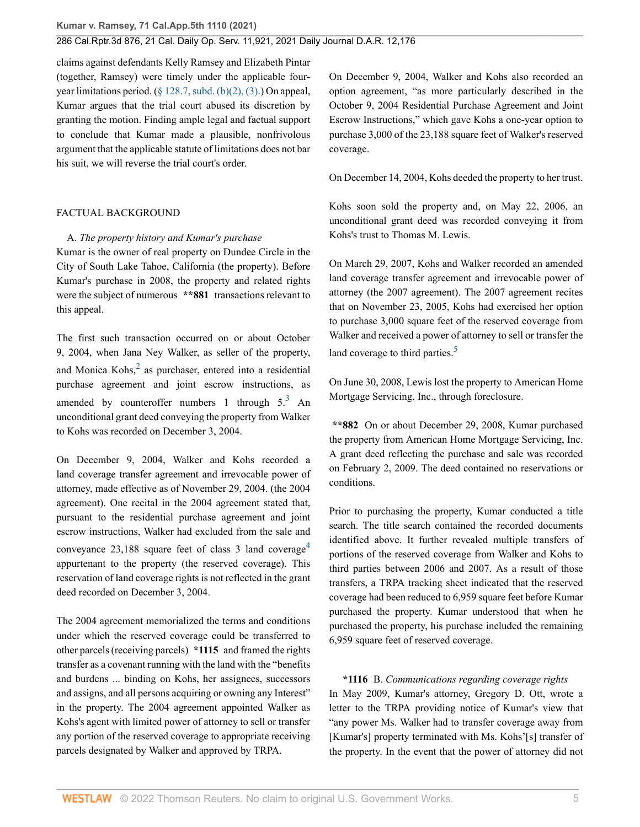claims against defendants Kelly Ramsey and Elizabeth Pintar (together, Ramsey) were timely under the applicable fouryear limitations period. ([§ 128.7, subd. \(b\)\(2\), \(3\).](http://www.westlaw.com/Link/Document/FullText?findType=L&pubNum=1000201&cite=CACPS128.7&originatingDoc=I0bc138e0516211ec9a6bc126e12e934d&refType=SP&originationContext=document&vr=3.0&rs=cblt1.0&transitionType=DocumentItem&contextData=(sc.History*oc.CustomDigest)#co_pp_c0ae00006c482)) On appeal, Kumar argues that the trial court abused its discretion by granting the motion. Finding ample legal and factual support to conclude that Kumar made a plausible, nonfrivolous argument that the applicable statute of limitations does not bar his suit, we will reverse the trial court's order.

### FACTUAL BACKGROUND

A. *The property history and Kumar's purchase*

Kumar is the owner of real property on Dundee Circle in the City of South Lake Tahoe, California (the property). Before Kumar's purchase in 2008, the property and related rights were the subject of numerous **\*\*881** transactions relevant to this appeal.

<span id="page-4-0"></span>The first such transaction occurred on or about October 9, 2004, when Jana Ney Walker, as seller of the property, and Monica Kohs, $<sup>2</sup>$  $<sup>2</sup>$  $<sup>2</sup>$  as purchaser, entered into a residential</sup> purchase agreement and joint escrow instructions, as amended by counteroffer numbers 1 through  $5<sup>3</sup>$  $5<sup>3</sup>$  $5<sup>3</sup>$  An unconditional grant deed conveying the property from Walker to Kohs was recorded on December 3, 2004.

On December 9, 2004, Walker and Kohs recorded a land coverage transfer agreement and irrevocable power of attorney, made effective as of November 29, 2004. (the 2004 agreement). One recital in the 2004 agreement stated that, pursuant to the residential purchase agreement and joint escrow instructions, Walker had excluded from the sale and conveyance  $23,188$  square feet of class 3 land coverage<sup>[4](#page-11-3)</sup> appurtenant to the property (the reserved coverage). This reservation of land coverage rights is not reflected in the grant deed recorded on December 3, 2004.

The 2004 agreement memorialized the terms and conditions under which the reserved coverage could be transferred to other parcels (receiving parcels) **\*1115** and framed the rights transfer as a covenant running with the land with the "benefits and burdens ... binding on Kohs, her assignees, successors and assigns, and all persons acquiring or owning any Interest" in the property. The 2004 agreement appointed Walker as Kohs's agent with limited power of attorney to sell or transfer any portion of the reserved coverage to appropriate receiving parcels designated by Walker and approved by TRPA.

On December 9, 2004, Walker and Kohs also recorded an option agreement, "as more particularly described in the October 9, 2004 Residential Purchase Agreement and Joint Escrow Instructions," which gave Kohs a one-year option to purchase 3,000 of the 23,188 square feet of Walker's reserved coverage.

On December 14, 2004, Kohs deeded the property to her trust.

Kohs soon sold the property and, on May 22, 2006, an unconditional grant deed was recorded conveying it from Kohs's trust to Thomas M. Lewis.

On March 29, 2007, Kohs and Walker recorded an amended land coverage transfer agreement and irrevocable power of attorney (the 2007 agreement). The 2007 agreement recites that on November 23, 2005, Kohs had exercised her option to purchase 3,000 square feet of the reserved coverage from Walker and received a power of attorney to sell or transfer the land coverage to third parties.<sup>[5](#page-11-4)</sup>

<span id="page-4-3"></span><span id="page-4-1"></span>On June 30, 2008, Lewis lost the property to American Home Mortgage Servicing, Inc., through foreclosure.

**\*\*882** On or about December 29, 2008, Kumar purchased the property from American Home Mortgage Servicing, Inc. A grant deed reflecting the purchase and sale was recorded on February 2, 2009. The deed contained no reservations or conditions.

<span id="page-4-2"></span>Prior to purchasing the property, Kumar conducted a title search. The title search contained the recorded documents identified above. It further revealed multiple transfers of portions of the reserved coverage from Walker and Kohs to third parties between 2006 and 2007. As a result of those transfers, a TRPA tracking sheet indicated that the reserved coverage had been reduced to 6,959 square feet before Kumar purchased the property. Kumar understood that when he purchased the property, his purchase included the remaining 6,959 square feet of reserved coverage.

**\*1116** B. *Communications regarding coverage rights*

In May 2009, Kumar's attorney, Gregory D. Ott, wrote a letter to the TRPA providing notice of Kumar's view that "any power Ms. Walker had to transfer coverage away from [Kumar's] property terminated with Ms. Kohs'[s] transfer of the property. In the event that the power of attorney did not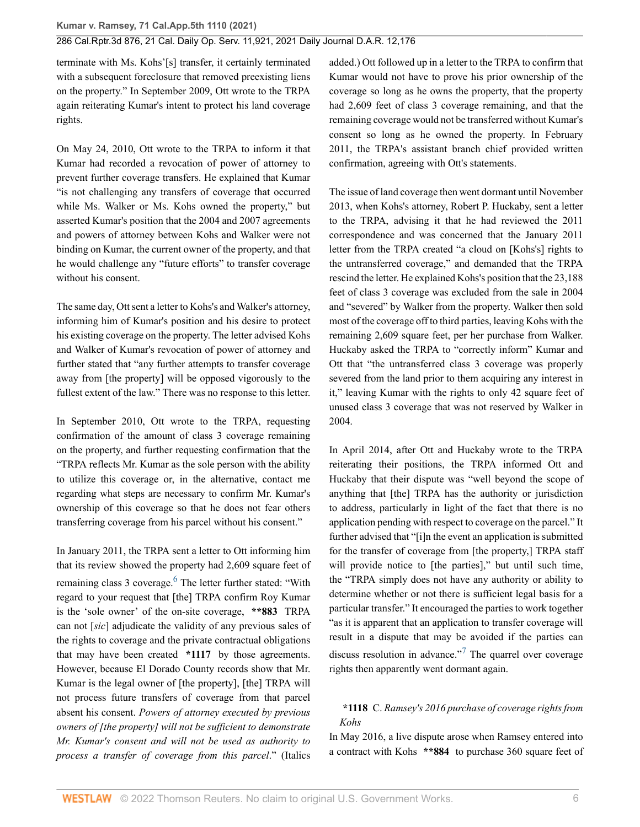terminate with Ms. Kohs'[s] transfer, it certainly terminated with a subsequent foreclosure that removed preexisting liens on the property." In September 2009, Ott wrote to the TRPA again reiterating Kumar's intent to protect his land coverage rights.

On May 24, 2010, Ott wrote to the TRPA to inform it that Kumar had recorded a revocation of power of attorney to prevent further coverage transfers. He explained that Kumar "is not challenging any transfers of coverage that occurred while Ms. Walker or Ms. Kohs owned the property," but asserted Kumar's position that the 2004 and 2007 agreements and powers of attorney between Kohs and Walker were not binding on Kumar, the current owner of the property, and that he would challenge any "future efforts" to transfer coverage without his consent.

The same day, Ott sent a letter to Kohs's and Walker's attorney, informing him of Kumar's position and his desire to protect his existing coverage on the property. The letter advised Kohs and Walker of Kumar's revocation of power of attorney and further stated that "any further attempts to transfer coverage away from [the property] will be opposed vigorously to the fullest extent of the law." There was no response to this letter.

In September 2010, Ott wrote to the TRPA, requesting confirmation of the amount of class 3 coverage remaining on the property, and further requesting confirmation that the "TRPA reflects Mr. Kumar as the sole person with the ability to utilize this coverage or, in the alternative, contact me regarding what steps are necessary to confirm Mr. Kumar's ownership of this coverage so that he does not fear others transferring coverage from his parcel without his consent."

<span id="page-5-0"></span>In January 2011, the TRPA sent a letter to Ott informing him that its review showed the property had 2,609 square feet of remaining class 3 coverage.<sup>[6](#page-11-5)</sup> The letter further stated: "With regard to your request that [the] TRPA confirm Roy Kumar is the 'sole owner' of the on-site coverage, **\*\*883** TRPA can not [*sic*] adjudicate the validity of any previous sales of the rights to coverage and the private contractual obligations that may have been created **\*1117** by those agreements. However, because El Dorado County records show that Mr. Kumar is the legal owner of [the property], [the] TRPA will not process future transfers of coverage from that parcel absent his consent. *Powers of attorney executed by previous owners of [the property] will not be sufficient to demonstrate Mr. Kumar's consent and will not be used as authority to process a transfer of coverage from this parcel*." (Italics

added.) Ott followed up in a letter to the TRPA to confirm that Kumar would not have to prove his prior ownership of the coverage so long as he owns the property, that the property had 2,609 feet of class 3 coverage remaining, and that the remaining coverage would not be transferred without Kumar's consent so long as he owned the property. In February 2011, the TRPA's assistant branch chief provided written confirmation, agreeing with Ott's statements.

The issue of land coverage then went dormant until November 2013, when Kohs's attorney, Robert P. Huckaby, sent a letter to the TRPA, advising it that he had reviewed the 2011 correspondence and was concerned that the January 2011 letter from the TRPA created "a cloud on [Kohs's] rights to the untransferred coverage," and demanded that the TRPA rescind the letter. He explained Kohs's position that the 23,188 feet of class 3 coverage was excluded from the sale in 2004 and "severed" by Walker from the property. Walker then sold most of the coverage off to third parties, leaving Kohs with the remaining 2,609 square feet, per her purchase from Walker. Huckaby asked the TRPA to "correctly inform" Kumar and Ott that "the untransferred class 3 coverage was properly severed from the land prior to them acquiring any interest in it," leaving Kumar with the rights to only 42 square feet of unused class 3 coverage that was not reserved by Walker in 2004.

In April 2014, after Ott and Huckaby wrote to the TRPA reiterating their positions, the TRPA informed Ott and Huckaby that their dispute was "well beyond the scope of anything that [the] TRPA has the authority or jurisdiction to address, particularly in light of the fact that there is no application pending with respect to coverage on the parcel." It further advised that "[i]n the event an application is submitted for the transfer of coverage from [the property,] TRPA staff will provide notice to [the parties]," but until such time, the "TRPA simply does not have any authority or ability to determine whether or not there is sufficient legal basis for a particular transfer." It encouraged the parties to work together "as it is apparent that an application to transfer coverage will result in a dispute that may be avoided if the parties can discuss resolution in advance."<sup>[7](#page-11-6)</sup> The quarrel over coverage rights then apparently went dormant again.

## <span id="page-5-1"></span>**\*1118** C. *Ramsey's 2016 purchase of coverage rights from Kohs*

In May 2016, a live dispute arose when Ramsey entered into a contract with Kohs **\*\*884** to purchase 360 square feet of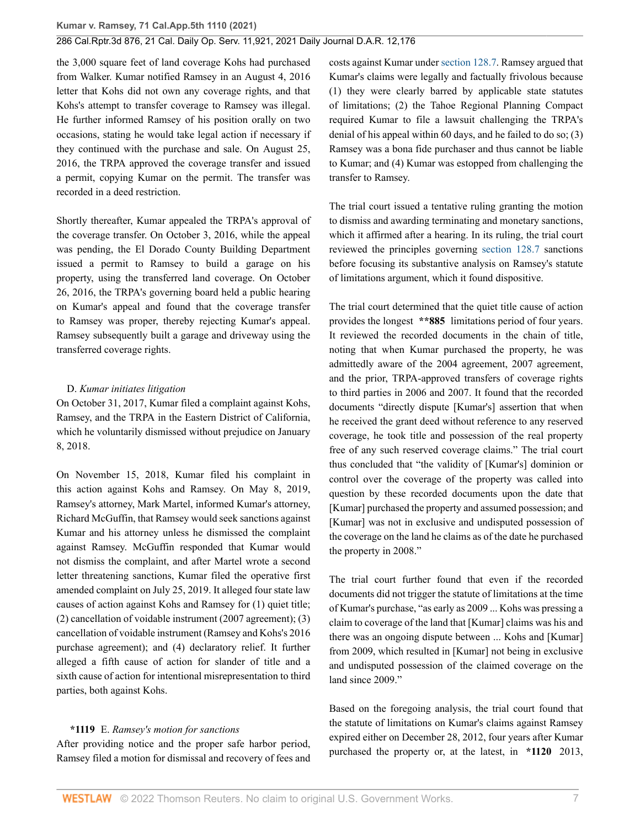the 3,000 square feet of land coverage Kohs had purchased from Walker. Kumar notified Ramsey in an August 4, 2016 letter that Kohs did not own any coverage rights, and that Kohs's attempt to transfer coverage to Ramsey was illegal. He further informed Ramsey of his position orally on two occasions, stating he would take legal action if necessary if they continued with the purchase and sale. On August 25, 2016, the TRPA approved the coverage transfer and issued a permit, copying Kumar on the permit. The transfer was recorded in a deed restriction.

Shortly thereafter, Kumar appealed the TRPA's approval of the coverage transfer. On October 3, 2016, while the appeal was pending, the El Dorado County Building Department issued a permit to Ramsey to build a garage on his property, using the transferred land coverage. On October 26, 2016, the TRPA's governing board held a public hearing on Kumar's appeal and found that the coverage transfer to Ramsey was proper, thereby rejecting Kumar's appeal. Ramsey subsequently built a garage and driveway using the transferred coverage rights.

### D. *Kumar initiates litigation*

On October 31, 2017, Kumar filed a complaint against Kohs, Ramsey, and the TRPA in the Eastern District of California, which he voluntarily dismissed without prejudice on January 8, 2018.

On November 15, 2018, Kumar filed his complaint in this action against Kohs and Ramsey. On May 8, 2019, Ramsey's attorney, Mark Martel, informed Kumar's attorney, Richard McGuffin, that Ramsey would seek sanctions against Kumar and his attorney unless he dismissed the complaint against Ramsey. McGuffin responded that Kumar would not dismiss the complaint, and after Martel wrote a second letter threatening sanctions, Kumar filed the operative first amended complaint on July 25, 2019. It alleged four state law causes of action against Kohs and Ramsey for (1) quiet title; (2) cancellation of voidable instrument (2007 agreement); (3) cancellation of voidable instrument (Ramsey and Kohs's 2016 purchase agreement); and (4) declaratory relief. It further alleged a fifth cause of action for slander of title and a sixth cause of action for intentional misrepresentation to third parties, both against Kohs.

### **\*1119** E. *Ramsey's motion for sanctions*

After providing notice and the proper safe harbor period, Ramsey filed a motion for dismissal and recovery of fees and costs against Kumar under [section 128.7](http://www.westlaw.com/Link/Document/FullText?findType=L&pubNum=1000201&cite=CACPS128.7&originatingDoc=I0bc138e0516211ec9a6bc126e12e934d&refType=LQ&originationContext=document&vr=3.0&rs=cblt1.0&transitionType=DocumentItem&contextData=(sc.History*oc.CustomDigest)). Ramsey argued that Kumar's claims were legally and factually frivolous because (1) they were clearly barred by applicable state statutes of limitations; (2) the Tahoe Regional Planning Compact required Kumar to file a lawsuit challenging the TRPA's denial of his appeal within 60 days, and he failed to do so; (3) Ramsey was a bona fide purchaser and thus cannot be liable to Kumar; and (4) Kumar was estopped from challenging the transfer to Ramsey.

The trial court issued a tentative ruling granting the motion to dismiss and awarding terminating and monetary sanctions, which it affirmed after a hearing. In its ruling, the trial court reviewed the principles governing [section 128.7](http://www.westlaw.com/Link/Document/FullText?findType=L&pubNum=1000201&cite=CACPS128.7&originatingDoc=I0bc138e0516211ec9a6bc126e12e934d&refType=LQ&originationContext=document&vr=3.0&rs=cblt1.0&transitionType=DocumentItem&contextData=(sc.History*oc.CustomDigest)) sanctions before focusing its substantive analysis on Ramsey's statute of limitations argument, which it found dispositive.

The trial court determined that the quiet title cause of action provides the longest **\*\*885** limitations period of four years. It reviewed the recorded documents in the chain of title, noting that when Kumar purchased the property, he was admittedly aware of the 2004 agreement, 2007 agreement, and the prior, TRPA-approved transfers of coverage rights to third parties in 2006 and 2007. It found that the recorded documents "directly dispute [Kumar's] assertion that when he received the grant deed without reference to any reserved coverage, he took title and possession of the real property free of any such reserved coverage claims." The trial court thus concluded that "the validity of [Kumar's] dominion or control over the coverage of the property was called into question by these recorded documents upon the date that [Kumar] purchased the property and assumed possession; and [Kumar] was not in exclusive and undisputed possession of the coverage on the land he claims as of the date he purchased the property in 2008."

The trial court further found that even if the recorded documents did not trigger the statute of limitations at the time of Kumar's purchase, "as early as 2009 ... Kohs was pressing a claim to coverage of the land that [Kumar] claims was his and there was an ongoing dispute between ... Kohs and [Kumar] from 2009, which resulted in [Kumar] not being in exclusive and undisputed possession of the claimed coverage on the land since 2009."

Based on the foregoing analysis, the trial court found that the statute of limitations on Kumar's claims against Ramsey expired either on December 28, 2012, four years after Kumar purchased the property or, at the latest, in **\*1120** 2013,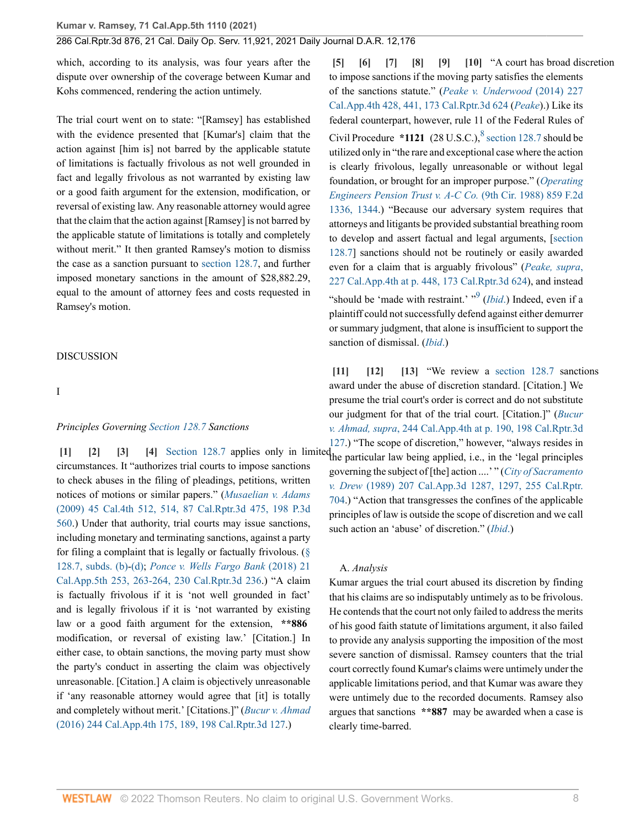which, according to its analysis, was four years after the dispute over ownership of the coverage between Kumar and Kohs commenced, rendering the action untimely.

The trial court went on to state: "[Ramsey] has established with the evidence presented that [Kumar's] claim that the action against [him is] not barred by the applicable statute of limitations is factually frivolous as not well grounded in fact and legally frivolous as not warranted by existing law or a good faith argument for the extension, modification, or reversal of existing law. Any reasonable attorney would agree that the claim that the action against [Ramsey] is not barred by the applicable statute of limitations is totally and completely without merit." It then granted Ramsey's motion to dismiss the case as a sanction pursuant to [section 128.7,](http://www.westlaw.com/Link/Document/FullText?findType=L&pubNum=1000201&cite=CACPS128.7&originatingDoc=I0bc138e0516211ec9a6bc126e12e934d&refType=LQ&originationContext=document&vr=3.0&rs=cblt1.0&transitionType=DocumentItem&contextData=(sc.History*oc.CustomDigest)) and further imposed monetary sanctions in the amount of \$28,882.29, equal to the amount of attorney fees and costs requested in Ramsey's motion.

DISCUSSION

I

#### *Principles Governing [Section 128.7](http://www.westlaw.com/Link/Document/FullText?findType=L&pubNum=1000201&cite=CACPS128.7&originatingDoc=I0bc138e0516211ec9a6bc126e12e934d&refType=LQ&originationContext=document&vr=3.0&rs=cblt1.0&transitionType=DocumentItem&contextData=(sc.History*oc.CustomDigest)) Sanctions*

<span id="page-7-3"></span><span id="page-7-2"></span><span id="page-7-1"></span><span id="page-7-0"></span>circumstances. It "authorizes trial courts to impose sanctions to check abuses in the filing of pleadings, petitions, written notices of motions or similar papers." (*[Musaelian v. Adams](http://www.westlaw.com/Link/Document/FullText?findType=Y&serNum=2017885480&pubNum=0004040&originatingDoc=I0bc138e0516211ec9a6bc126e12e934d&refType=RP&fi=co_pp_sp_4040_514&originationContext=document&vr=3.0&rs=cblt1.0&transitionType=DocumentItem&contextData=(sc.History*oc.CustomDigest)#co_pp_sp_4040_514)* [\(2009\) 45 Cal.4th 512, 514, 87 Cal.Rptr.3d 475, 198 P.3d](http://www.westlaw.com/Link/Document/FullText?findType=Y&serNum=2017885480&pubNum=0004040&originatingDoc=I0bc138e0516211ec9a6bc126e12e934d&refType=RP&fi=co_pp_sp_4040_514&originationContext=document&vr=3.0&rs=cblt1.0&transitionType=DocumentItem&contextData=(sc.History*oc.CustomDigest)#co_pp_sp_4040_514) [560](http://www.westlaw.com/Link/Document/FullText?findType=Y&serNum=2017885480&pubNum=0004040&originatingDoc=I0bc138e0516211ec9a6bc126e12e934d&refType=RP&fi=co_pp_sp_4040_514&originationContext=document&vr=3.0&rs=cblt1.0&transitionType=DocumentItem&contextData=(sc.History*oc.CustomDigest)#co_pp_sp_4040_514).) Under that authority, trial courts may issue sanctions, including monetary and terminating sanctions, against a party for filing a complaint that is legally or factually frivolous. ([§](http://www.westlaw.com/Link/Document/FullText?findType=L&pubNum=1000201&cite=CACPS128.7&originatingDoc=I0bc138e0516211ec9a6bc126e12e934d&refType=SP&originationContext=document&vr=3.0&rs=cblt1.0&transitionType=DocumentItem&contextData=(sc.History*oc.CustomDigest)#co_pp_a83b000018c76) [128.7, subds. \(b\)](http://www.westlaw.com/Link/Document/FullText?findType=L&pubNum=1000201&cite=CACPS128.7&originatingDoc=I0bc138e0516211ec9a6bc126e12e934d&refType=SP&originationContext=document&vr=3.0&rs=cblt1.0&transitionType=DocumentItem&contextData=(sc.History*oc.CustomDigest)#co_pp_a83b000018c76)-[\(d\)](http://www.westlaw.com/Link/Document/FullText?findType=L&pubNum=1000201&cite=CACPS128.7&originatingDoc=I0bc138e0516211ec9a6bc126e12e934d&refType=SP&originationContext=document&vr=3.0&rs=cblt1.0&transitionType=DocumentItem&contextData=(sc.History*oc.CustomDigest)#co_pp_5ba1000067d06); *[Ponce v. Wells Fargo Bank](http://www.westlaw.com/Link/Document/FullText?findType=Y&serNum=2043996134&pubNum=0007053&originatingDoc=I0bc138e0516211ec9a6bc126e12e934d&refType=RP&fi=co_pp_sp_7053_263&originationContext=document&vr=3.0&rs=cblt1.0&transitionType=DocumentItem&contextData=(sc.History*oc.CustomDigest)#co_pp_sp_7053_263)* (2018) 21 [Cal.App.5th 253, 263-264, 230 Cal.Rptr.3d 236](http://www.westlaw.com/Link/Document/FullText?findType=Y&serNum=2043996134&pubNum=0007053&originatingDoc=I0bc138e0516211ec9a6bc126e12e934d&refType=RP&fi=co_pp_sp_7053_263&originationContext=document&vr=3.0&rs=cblt1.0&transitionType=DocumentItem&contextData=(sc.History*oc.CustomDigest)#co_pp_sp_7053_263).) "A claim is factually frivolous if it is 'not well grounded in fact' and is legally frivolous if it is 'not warranted by existing law or a good faith argument for the extension, **\*\*886** modification, or reversal of existing law.' [Citation.] In either case, to obtain sanctions, the moving party must show the party's conduct in asserting the claim was objectively unreasonable. [Citation.] A claim is objectively unreasonable if 'any reasonable attorney would agree that [it] is totally and completely without merit.' [Citations.]" (*[Bucur v. Ahmad](http://www.westlaw.com/Link/Document/FullText?findType=Y&serNum=2038157078&pubNum=0004041&originatingDoc=I0bc138e0516211ec9a6bc126e12e934d&refType=RP&fi=co_pp_sp_4041_189&originationContext=document&vr=3.0&rs=cblt1.0&transitionType=DocumentItem&contextData=(sc.History*oc.CustomDigest)#co_pp_sp_4041_189)* [\(2016\) 244 Cal.App.4th 175, 189, 198 Cal.Rptr.3d 127](http://www.westlaw.com/Link/Document/FullText?findType=Y&serNum=2038157078&pubNum=0004041&originatingDoc=I0bc138e0516211ec9a6bc126e12e934d&refType=RP&fi=co_pp_sp_4041_189&originationContext=document&vr=3.0&rs=cblt1.0&transitionType=DocumentItem&contextData=(sc.History*oc.CustomDigest)#co_pp_sp_4041_189).)

<span id="page-7-14"></span><span id="page-7-13"></span><span id="page-7-9"></span><span id="page-7-8"></span><span id="page-7-7"></span><span id="page-7-6"></span><span id="page-7-5"></span><span id="page-7-4"></span>**[\[5\]](#page-0-4) [\[6\]](#page-1-1) [\[7](#page-1-2)] [\[8\]](#page-1-3) [\[9\]](#page-1-4) [\[10\]](#page-1-5)** "A court has broad discretion to impose sanctions if the moving party satisfies the elements of the sanctions statute." (*[Peake v. Underwood](http://www.westlaw.com/Link/Document/FullText?findType=Y&serNum=2033673774&pubNum=0004041&originatingDoc=I0bc138e0516211ec9a6bc126e12e934d&refType=RP&fi=co_pp_sp_4041_441&originationContext=document&vr=3.0&rs=cblt1.0&transitionType=DocumentItem&contextData=(sc.History*oc.CustomDigest)#co_pp_sp_4041_441)* (2014) 227 [Cal.App.4th 428, 441, 173 Cal.Rptr.3d 624](http://www.westlaw.com/Link/Document/FullText?findType=Y&serNum=2033673774&pubNum=0004041&originatingDoc=I0bc138e0516211ec9a6bc126e12e934d&refType=RP&fi=co_pp_sp_4041_441&originationContext=document&vr=3.0&rs=cblt1.0&transitionType=DocumentItem&contextData=(sc.History*oc.CustomDigest)#co_pp_sp_4041_441) (*[Peake](http://www.westlaw.com/Link/Document/FullText?findType=Y&serNum=2033673774&pubNum=0004041&originatingDoc=I0bc138e0516211ec9a6bc126e12e934d&refType=RP&originationContext=document&vr=3.0&rs=cblt1.0&transitionType=DocumentItem&contextData=(sc.History*oc.CustomDigest))*).) Like its federal counterpart, however, rule 11 of the Federal Rules of Civil Procedure  $*1121$  (2[8](#page-11-7) U.S.C.), <sup>8</sup> [section 128.7](http://www.westlaw.com/Link/Document/FullText?findType=L&pubNum=1000201&cite=CACPS128.7&originatingDoc=I0bc138e0516211ec9a6bc126e12e934d&refType=LQ&originationContext=document&vr=3.0&rs=cblt1.0&transitionType=DocumentItem&contextData=(sc.History*oc.CustomDigest)) should be utilized only in "the rare and exceptional case where the action is clearly frivolous, legally unreasonable or without legal foundation, or brought for an improper purpose." (*[Operating](http://www.westlaw.com/Link/Document/FullText?findType=Y&serNum=1988096281&pubNum=0000350&originatingDoc=I0bc138e0516211ec9a6bc126e12e934d&refType=RP&fi=co_pp_sp_350_1344&originationContext=document&vr=3.0&rs=cblt1.0&transitionType=DocumentItem&contextData=(sc.History*oc.CustomDigest)#co_pp_sp_350_1344) [Engineers Pension Trust v. A-C Co.](http://www.westlaw.com/Link/Document/FullText?findType=Y&serNum=1988096281&pubNum=0000350&originatingDoc=I0bc138e0516211ec9a6bc126e12e934d&refType=RP&fi=co_pp_sp_350_1344&originationContext=document&vr=3.0&rs=cblt1.0&transitionType=DocumentItem&contextData=(sc.History*oc.CustomDigest)#co_pp_sp_350_1344)* (9th Cir. 1988) 859 F.2d [1336, 1344.](http://www.westlaw.com/Link/Document/FullText?findType=Y&serNum=1988096281&pubNum=0000350&originatingDoc=I0bc138e0516211ec9a6bc126e12e934d&refType=RP&fi=co_pp_sp_350_1344&originationContext=document&vr=3.0&rs=cblt1.0&transitionType=DocumentItem&contextData=(sc.History*oc.CustomDigest)#co_pp_sp_350_1344)) "Because our adversary system requires that attorneys and litigants be provided substantial breathing room to develop and assert factual and legal arguments, [[section](http://www.westlaw.com/Link/Document/FullText?findType=L&pubNum=1000201&cite=CACPS128.7&originatingDoc=I0bc138e0516211ec9a6bc126e12e934d&refType=LQ&originationContext=document&vr=3.0&rs=cblt1.0&transitionType=DocumentItem&contextData=(sc.History*oc.CustomDigest)) [128.7\]](http://www.westlaw.com/Link/Document/FullText?findType=L&pubNum=1000201&cite=CACPS128.7&originatingDoc=I0bc138e0516211ec9a6bc126e12e934d&refType=LQ&originationContext=document&vr=3.0&rs=cblt1.0&transitionType=DocumentItem&contextData=(sc.History*oc.CustomDigest)) sanctions should not be routinely or easily awarded even for a claim that is arguably frivolous" (*[Peake, supra](http://www.westlaw.com/Link/Document/FullText?findType=Y&serNum=2033673774&pubNum=0004041&originatingDoc=I0bc138e0516211ec9a6bc126e12e934d&refType=RP&fi=co_pp_sp_4041_448&originationContext=document&vr=3.0&rs=cblt1.0&transitionType=DocumentItem&contextData=(sc.History*oc.CustomDigest)#co_pp_sp_4041_448)*, [227 Cal.App.4th at p. 448, 173 Cal.Rptr.3d 624](http://www.westlaw.com/Link/Document/FullText?findType=Y&serNum=2033673774&pubNum=0004041&originatingDoc=I0bc138e0516211ec9a6bc126e12e934d&refType=RP&fi=co_pp_sp_4041_448&originationContext=document&vr=3.0&rs=cblt1.0&transitionType=DocumentItem&contextData=(sc.History*oc.CustomDigest)#co_pp_sp_4041_448)), and instead "should be 'made with restraint.' "<sup>[9](#page-11-8)</sup> (*[Ibid](http://www.westlaw.com/Link/Document/FullText?findType=Y&serNum=2033673774&pubNum=0004041&originatingDoc=I0bc138e0516211ec9a6bc126e12e934d&refType=RP&originationContext=document&vr=3.0&rs=cblt1.0&transitionType=DocumentItem&contextData=(sc.History*oc.CustomDigest))*.) Indeed, even if a plaintiff could not successfully defend against either demurrer or summary judgment, that alone is insufficient to support the sanction of dismissal. (*[Ibid](http://www.westlaw.com/Link/Document/FullText?findType=Y&serNum=2033673774&pubNum=0004041&originatingDoc=I0bc138e0516211ec9a6bc126e12e934d&refType=RP&originationContext=document&vr=3.0&rs=cblt1.0&transitionType=DocumentItem&contextData=(sc.History*oc.CustomDigest))*.)

**[\[1\]](#page-0-0) [\[2\]](#page-0-1) [\[3](#page-0-2)] [\[4\]](#page-0-3)** [Section 128.7](http://www.westlaw.com/Link/Document/FullText?findType=L&pubNum=1000201&cite=CACPS128.7&originatingDoc=I0bc138e0516211ec9a6bc126e12e934d&refType=LQ&originationContext=document&vr=3.0&rs=cblt1.0&transitionType=DocumentItem&contextData=(sc.History*oc.CustomDigest)) applies only in limited the particular law being applied, i.e., in the 'legal principles **[\[11\]](#page-1-6) [\[12\]](#page-1-7) [\[13](#page-1-8)]** "We review a [section 128.7](http://www.westlaw.com/Link/Document/FullText?findType=L&pubNum=1000201&cite=CACPS128.7&originatingDoc=I0bc138e0516211ec9a6bc126e12e934d&refType=LQ&originationContext=document&vr=3.0&rs=cblt1.0&transitionType=DocumentItem&contextData=(sc.History*oc.CustomDigest)) sanctions award under the abuse of discretion standard. [Citation.] We presume the trial court's order is correct and do not substitute our judgment for that of the trial court. [Citation.]" (*[Bucur](http://www.westlaw.com/Link/Document/FullText?findType=Y&serNum=2038157078&pubNum=0004041&originatingDoc=I0bc138e0516211ec9a6bc126e12e934d&refType=RP&fi=co_pp_sp_4041_190&originationContext=document&vr=3.0&rs=cblt1.0&transitionType=DocumentItem&contextData=(sc.History*oc.CustomDigest)#co_pp_sp_4041_190) v. Ahmad, supra*[, 244 Cal.App.4th at p. 190, 198 Cal.Rptr.3d](http://www.westlaw.com/Link/Document/FullText?findType=Y&serNum=2038157078&pubNum=0004041&originatingDoc=I0bc138e0516211ec9a6bc126e12e934d&refType=RP&fi=co_pp_sp_4041_190&originationContext=document&vr=3.0&rs=cblt1.0&transitionType=DocumentItem&contextData=(sc.History*oc.CustomDigest)#co_pp_sp_4041_190) [127](http://www.westlaw.com/Link/Document/FullText?findType=Y&serNum=2038157078&pubNum=0004041&originatingDoc=I0bc138e0516211ec9a6bc126e12e934d&refType=RP&fi=co_pp_sp_4041_190&originationContext=document&vr=3.0&rs=cblt1.0&transitionType=DocumentItem&contextData=(sc.History*oc.CustomDigest)#co_pp_sp_4041_190).) "The scope of discretion," however, "always resides in governing the subject of [the] action ....' " (*[City of Sacramento](http://www.westlaw.com/Link/Document/FullText?findType=Y&serNum=1989025933&pubNum=0000226&originatingDoc=I0bc138e0516211ec9a6bc126e12e934d&refType=RP&fi=co_pp_sp_226_1297&originationContext=document&vr=3.0&rs=cblt1.0&transitionType=DocumentItem&contextData=(sc.History*oc.CustomDigest)#co_pp_sp_226_1297) v. Drew* [\(1989\) 207 Cal.App.3d 1287, 1297, 255 Cal.Rptr.](http://www.westlaw.com/Link/Document/FullText?findType=Y&serNum=1989025933&pubNum=0000226&originatingDoc=I0bc138e0516211ec9a6bc126e12e934d&refType=RP&fi=co_pp_sp_226_1297&originationContext=document&vr=3.0&rs=cblt1.0&transitionType=DocumentItem&contextData=(sc.History*oc.CustomDigest)#co_pp_sp_226_1297) [704](http://www.westlaw.com/Link/Document/FullText?findType=Y&serNum=1989025933&pubNum=0000226&originatingDoc=I0bc138e0516211ec9a6bc126e12e934d&refType=RP&fi=co_pp_sp_226_1297&originationContext=document&vr=3.0&rs=cblt1.0&transitionType=DocumentItem&contextData=(sc.History*oc.CustomDigest)#co_pp_sp_226_1297).) "Action that transgresses the confines of the applicable principles of law is outside the scope of discretion and we call such action an 'abuse' of discretion." (*[Ibid](http://www.westlaw.com/Link/Document/FullText?findType=Y&serNum=1989025933&pubNum=0000226&originatingDoc=I0bc138e0516211ec9a6bc126e12e934d&refType=RP&originationContext=document&vr=3.0&rs=cblt1.0&transitionType=DocumentItem&contextData=(sc.History*oc.CustomDigest))*.)

#### <span id="page-7-12"></span><span id="page-7-11"></span><span id="page-7-10"></span>A. *Analysis*

Kumar argues the trial court abused its discretion by finding that his claims are so indisputably untimely as to be frivolous. He contends that the court not only failed to address the merits of his good faith statute of limitations argument, it also failed to provide any analysis supporting the imposition of the most severe sanction of dismissal. Ramsey counters that the trial court correctly found Kumar's claims were untimely under the applicable limitations period, and that Kumar was aware they were untimely due to the recorded documents. Ramsey also argues that sanctions **\*\*887** may be awarded when a case is clearly time-barred.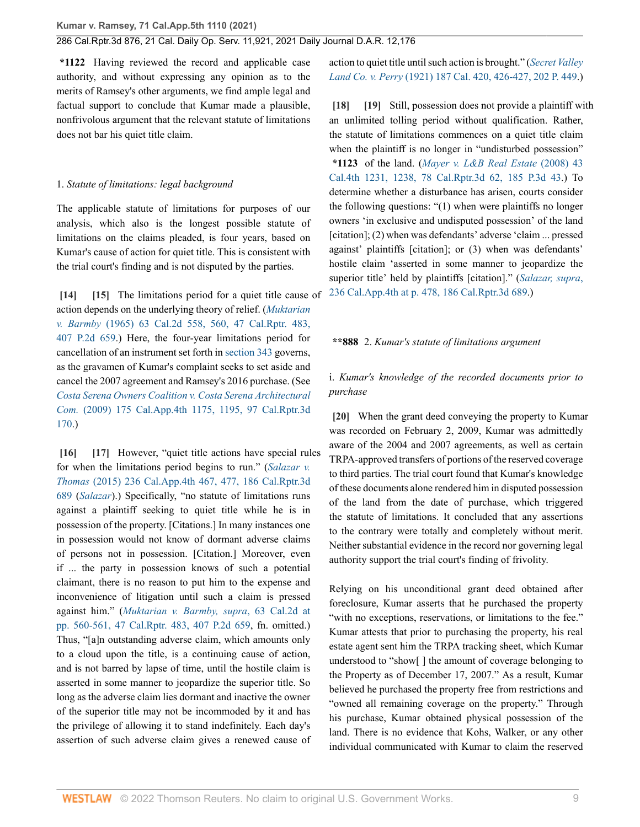**\*1122** Having reviewed the record and applicable case authority, and without expressing any opinion as to the merits of Ramsey's other arguments, we find ample legal and factual support to conclude that Kumar made a plausible, nonfrivolous argument that the relevant statute of limitations does not bar his quiet title claim.

#### 1. *Statute of limitations: legal background*

The applicable statute of limitations for purposes of our analysis, which also is the longest possible statute of limitations on the claims pleaded, is four years, based on Kumar's cause of action for quiet title. This is consistent with the trial court's finding and is not disputed by the parties.

<span id="page-8-1"></span><span id="page-8-0"></span>**[\[14\]](#page-1-0) [\[15\]](#page-2-2)** The limitations period for a quiet title cause of action depends on the underlying theory of relief. (*[Muktarian](http://www.westlaw.com/Link/Document/FullText?findType=Y&serNum=1965109530&pubNum=0000231&originatingDoc=I0bc138e0516211ec9a6bc126e12e934d&refType=RP&fi=co_pp_sp_231_560&originationContext=document&vr=3.0&rs=cblt1.0&transitionType=DocumentItem&contextData=(sc.History*oc.CustomDigest)#co_pp_sp_231_560) v. Barmby* [\(1965\) 63 Cal.2d 558, 560, 47 Cal.Rptr. 483,](http://www.westlaw.com/Link/Document/FullText?findType=Y&serNum=1965109530&pubNum=0000231&originatingDoc=I0bc138e0516211ec9a6bc126e12e934d&refType=RP&fi=co_pp_sp_231_560&originationContext=document&vr=3.0&rs=cblt1.0&transitionType=DocumentItem&contextData=(sc.History*oc.CustomDigest)#co_pp_sp_231_560) [407 P.2d 659.](http://www.westlaw.com/Link/Document/FullText?findType=Y&serNum=1965109530&pubNum=0000231&originatingDoc=I0bc138e0516211ec9a6bc126e12e934d&refType=RP&fi=co_pp_sp_231_560&originationContext=document&vr=3.0&rs=cblt1.0&transitionType=DocumentItem&contextData=(sc.History*oc.CustomDigest)#co_pp_sp_231_560)) Here, the four-year limitations period for cancellation of an instrument set forth in [section 343](http://www.westlaw.com/Link/Document/FullText?findType=L&pubNum=1000201&cite=CACPS343&originatingDoc=I0bc138e0516211ec9a6bc126e12e934d&refType=LQ&originationContext=document&vr=3.0&rs=cblt1.0&transitionType=DocumentItem&contextData=(sc.History*oc.CustomDigest)) governs, as the gravamen of Kumar's complaint seeks to set aside and cancel the 2007 agreement and Ramsey's 2016 purchase. (See *[Costa Serena Owners Coalition v. Costa Serena Architectural](http://www.westlaw.com/Link/Document/FullText?findType=Y&serNum=2019210173&pubNum=0004041&originatingDoc=I0bc138e0516211ec9a6bc126e12e934d&refType=RP&fi=co_pp_sp_4041_1195&originationContext=document&vr=3.0&rs=cblt1.0&transitionType=DocumentItem&contextData=(sc.History*oc.CustomDigest)#co_pp_sp_4041_1195) Com.* [\(2009\) 175 Cal.App.4th 1175, 1195, 97 Cal.Rptr.3d](http://www.westlaw.com/Link/Document/FullText?findType=Y&serNum=2019210173&pubNum=0004041&originatingDoc=I0bc138e0516211ec9a6bc126e12e934d&refType=RP&fi=co_pp_sp_4041_1195&originationContext=document&vr=3.0&rs=cblt1.0&transitionType=DocumentItem&contextData=(sc.History*oc.CustomDigest)#co_pp_sp_4041_1195) [170](http://www.westlaw.com/Link/Document/FullText?findType=Y&serNum=2019210173&pubNum=0004041&originatingDoc=I0bc138e0516211ec9a6bc126e12e934d&refType=RP&fi=co_pp_sp_4041_1195&originationContext=document&vr=3.0&rs=cblt1.0&transitionType=DocumentItem&contextData=(sc.History*oc.CustomDigest)#co_pp_sp_4041_1195).)

<span id="page-8-3"></span><span id="page-8-2"></span>**[\[16\]](#page-2-3) [\[17\]](#page-2-4)** However, "quiet title actions have special rules for when the limitations period begins to run." (*[Salazar v.](http://www.westlaw.com/Link/Document/FullText?findType=Y&serNum=2036188995&pubNum=0004041&originatingDoc=I0bc138e0516211ec9a6bc126e12e934d&refType=RP&fi=co_pp_sp_4041_477&originationContext=document&vr=3.0&rs=cblt1.0&transitionType=DocumentItem&contextData=(sc.History*oc.CustomDigest)#co_pp_sp_4041_477) Thomas* [\(2015\) 236 Cal.App.4th 467, 477, 186 Cal.Rptr.3d](http://www.westlaw.com/Link/Document/FullText?findType=Y&serNum=2036188995&pubNum=0004041&originatingDoc=I0bc138e0516211ec9a6bc126e12e934d&refType=RP&fi=co_pp_sp_4041_477&originationContext=document&vr=3.0&rs=cblt1.0&transitionType=DocumentItem&contextData=(sc.History*oc.CustomDigest)#co_pp_sp_4041_477) [689](http://www.westlaw.com/Link/Document/FullText?findType=Y&serNum=2036188995&pubNum=0004041&originatingDoc=I0bc138e0516211ec9a6bc126e12e934d&refType=RP&fi=co_pp_sp_4041_477&originationContext=document&vr=3.0&rs=cblt1.0&transitionType=DocumentItem&contextData=(sc.History*oc.CustomDigest)#co_pp_sp_4041_477) (*[Salazar](http://www.westlaw.com/Link/Document/FullText?findType=Y&serNum=2036188995&pubNum=0004041&originatingDoc=I0bc138e0516211ec9a6bc126e12e934d&refType=RP&originationContext=document&vr=3.0&rs=cblt1.0&transitionType=DocumentItem&contextData=(sc.History*oc.CustomDigest))*).) Specifically, "no statute of limitations runs against a plaintiff seeking to quiet title while he is in possession of the property. [Citations.] In many instances one in possession would not know of dormant adverse claims of persons not in possession. [Citation.] Moreover, even if ... the party in possession knows of such a potential claimant, there is no reason to put him to the expense and inconvenience of litigation until such a claim is pressed against him." (*[Muktarian v. Barmby, supra](http://www.westlaw.com/Link/Document/FullText?findType=Y&serNum=1965109530&pubNum=0000231&originatingDoc=I0bc138e0516211ec9a6bc126e12e934d&refType=RP&fi=co_pp_sp_231_560&originationContext=document&vr=3.0&rs=cblt1.0&transitionType=DocumentItem&contextData=(sc.History*oc.CustomDigest)#co_pp_sp_231_560)*, 63 Cal.2d at [pp. 560-561, 47 Cal.Rptr. 483, 407 P.2d 659,](http://www.westlaw.com/Link/Document/FullText?findType=Y&serNum=1965109530&pubNum=0000231&originatingDoc=I0bc138e0516211ec9a6bc126e12e934d&refType=RP&fi=co_pp_sp_231_560&originationContext=document&vr=3.0&rs=cblt1.0&transitionType=DocumentItem&contextData=(sc.History*oc.CustomDigest)#co_pp_sp_231_560) fn. omitted.) Thus, "[a]n outstanding adverse claim, which amounts only to a cloud upon the title, is a continuing cause of action, and is not barred by lapse of time, until the hostile claim is asserted in some manner to jeopardize the superior title. So long as the adverse claim lies dormant and inactive the owner of the superior title may not be incommoded by it and has the privilege of allowing it to stand indefinitely. Each day's assertion of such adverse claim gives a renewed cause of

action to quiet title until such action is brought." (*[Secret Valley](http://www.westlaw.com/Link/Document/FullText?findType=Y&serNum=1922116103&pubNum=0000220&originatingDoc=I0bc138e0516211ec9a6bc126e12e934d&refType=RP&fi=co_pp_sp_220_426&originationContext=document&vr=3.0&rs=cblt1.0&transitionType=DocumentItem&contextData=(sc.History*oc.CustomDigest)#co_pp_sp_220_426) Land Co. v. Perry* [\(1921\) 187 Cal. 420, 426-427, 202 P. 449](http://www.westlaw.com/Link/Document/FullText?findType=Y&serNum=1922116103&pubNum=0000220&originatingDoc=I0bc138e0516211ec9a6bc126e12e934d&refType=RP&fi=co_pp_sp_220_426&originationContext=document&vr=3.0&rs=cblt1.0&transitionType=DocumentItem&contextData=(sc.History*oc.CustomDigest)#co_pp_sp_220_426).)

<span id="page-8-5"></span><span id="page-8-4"></span>**[\[18\]](#page-2-5) [\[19\]](#page-2-6)** Still, possession does not provide a plaintiff with an unlimited tolling period without qualification. Rather, the statute of limitations commences on a quiet title claim when the plaintiff is no longer in "undisturbed possession" **\*1123** of the land. (*[Mayer v. L&B Real Estate](http://www.westlaw.com/Link/Document/FullText?findType=Y&serNum=2016314529&pubNum=0004040&originatingDoc=I0bc138e0516211ec9a6bc126e12e934d&refType=RP&fi=co_pp_sp_4040_1238&originationContext=document&vr=3.0&rs=cblt1.0&transitionType=DocumentItem&contextData=(sc.History*oc.CustomDigest)#co_pp_sp_4040_1238)* (2008) 43 [Cal.4th 1231, 1238, 78 Cal.Rptr.3d 62, 185 P.3d 43](http://www.westlaw.com/Link/Document/FullText?findType=Y&serNum=2016314529&pubNum=0004040&originatingDoc=I0bc138e0516211ec9a6bc126e12e934d&refType=RP&fi=co_pp_sp_4040_1238&originationContext=document&vr=3.0&rs=cblt1.0&transitionType=DocumentItem&contextData=(sc.History*oc.CustomDigest)#co_pp_sp_4040_1238).) To determine whether a disturbance has arisen, courts consider the following questions: "(1) when were plaintiffs no longer owners 'in exclusive and undisputed possession' of the land [citation]; (2) when was defendants' adverse 'claim ... pressed against' plaintiffs [citation]; or (3) when was defendants' hostile claim 'asserted in some manner to jeopardize the superior title' held by plaintiffs [citation]." (*[Salazar, supra](http://www.westlaw.com/Link/Document/FullText?findType=Y&serNum=2036188995&pubNum=0004041&originatingDoc=I0bc138e0516211ec9a6bc126e12e934d&refType=RP&fi=co_pp_sp_4041_478&originationContext=document&vr=3.0&rs=cblt1.0&transitionType=DocumentItem&contextData=(sc.History*oc.CustomDigest)#co_pp_sp_4041_478)*, [236 Cal.App.4th at p. 478, 186 Cal.Rptr.3d 689.](http://www.westlaw.com/Link/Document/FullText?findType=Y&serNum=2036188995&pubNum=0004041&originatingDoc=I0bc138e0516211ec9a6bc126e12e934d&refType=RP&fi=co_pp_sp_4041_478&originationContext=document&vr=3.0&rs=cblt1.0&transitionType=DocumentItem&contextData=(sc.History*oc.CustomDigest)#co_pp_sp_4041_478))

#### **\*\*888** 2. *Kumar's statute of limitations argument*

i. *Kumar's knowledge of the recorded documents prior to purchase*

<span id="page-8-6"></span>**[\[20\]](#page-2-0)** When the grant deed conveying the property to Kumar was recorded on February 2, 2009, Kumar was admittedly aware of the 2004 and 2007 agreements, as well as certain TRPA-approved transfers of portions of the reserved coverage to third parties. The trial court found that Kumar's knowledge of these documents alone rendered him in disputed possession of the land from the date of purchase, which triggered the statute of limitations. It concluded that any assertions to the contrary were totally and completely without merit. Neither substantial evidence in the record nor governing legal authority support the trial court's finding of frivolity.

Relying on his unconditional grant deed obtained after foreclosure, Kumar asserts that he purchased the property "with no exceptions, reservations, or limitations to the fee." Kumar attests that prior to purchasing the property, his real estate agent sent him the TRPA tracking sheet, which Kumar understood to "show[ ] the amount of coverage belonging to the Property as of December 17, 2007." As a result, Kumar believed he purchased the property free from restrictions and "owned all remaining coverage on the property." Through his purchase, Kumar obtained physical possession of the land. There is no evidence that Kohs, Walker, or any other individual communicated with Kumar to claim the reserved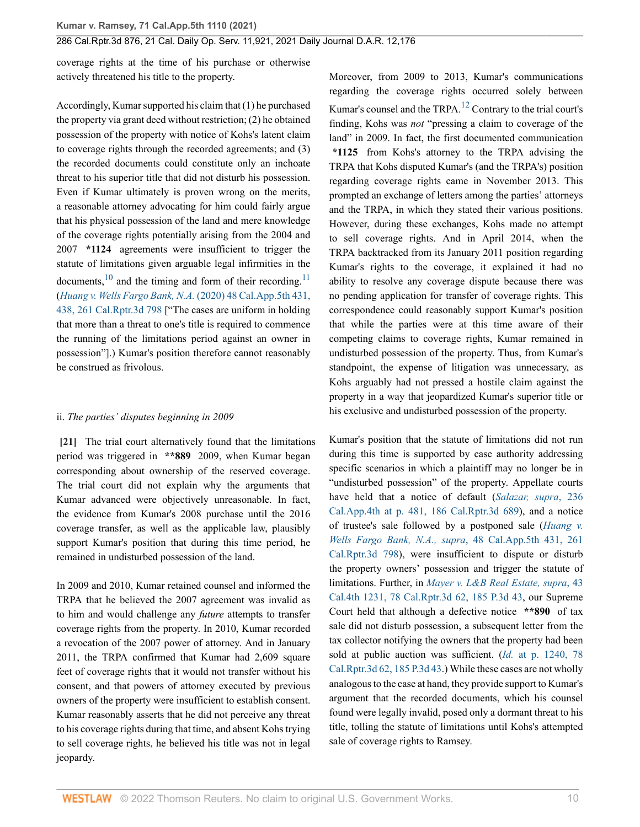coverage rights at the time of his purchase or otherwise actively threatened his title to the property.

Accordingly, Kumar supported his claim that (1) he purchased the property via grant deed without restriction; (2) he obtained possession of the property with notice of Kohs's latent claim to coverage rights through the recorded agreements; and (3) the recorded documents could constitute only an inchoate threat to his superior title that did not disturb his possession. Even if Kumar ultimately is proven wrong on the merits, a reasonable attorney advocating for him could fairly argue that his physical possession of the land and mere knowledge of the coverage rights potentially arising from the 2004 and 2007 **\*1124** agreements were insufficient to trigger the statute of limitations given arguable legal infirmities in the documents,  $^{10}$  $^{10}$  $^{10}$  and the timing and form of their recording.<sup>[11](#page-11-10)</sup> (*[Huang v. Wells Fargo Bank, N.A.](http://www.westlaw.com/Link/Document/FullText?findType=Y&serNum=2050861726&pubNum=0007053&originatingDoc=I0bc138e0516211ec9a6bc126e12e934d&refType=RP&fi=co_pp_sp_7053_438&originationContext=document&vr=3.0&rs=cblt1.0&transitionType=DocumentItem&contextData=(sc.History*oc.CustomDigest)#co_pp_sp_7053_438)* (2020) 48 Cal.App.5th 431, [438, 261 Cal.Rptr.3d 798](http://www.westlaw.com/Link/Document/FullText?findType=Y&serNum=2050861726&pubNum=0007053&originatingDoc=I0bc138e0516211ec9a6bc126e12e934d&refType=RP&fi=co_pp_sp_7053_438&originationContext=document&vr=3.0&rs=cblt1.0&transitionType=DocumentItem&contextData=(sc.History*oc.CustomDigest)#co_pp_sp_7053_438) ["The cases are uniform in holding that more than a threat to one's title is required to commence the running of the limitations period against an owner in possession"].) Kumar's position therefore cannot reasonably be construed as frivolous.

#### <span id="page-9-1"></span>ii. *The parties' disputes beginning in 2009*

<span id="page-9-0"></span>**[\[21\]](#page-2-1)** The trial court alternatively found that the limitations period was triggered in **\*\*889** 2009, when Kumar began corresponding about ownership of the reserved coverage. The trial court did not explain why the arguments that Kumar advanced were objectively unreasonable. In fact, the evidence from Kumar's 2008 purchase until the 2016 coverage transfer, as well as the applicable law, plausibly support Kumar's position that during this time period, he remained in undisturbed possession of the land.

In 2009 and 2010, Kumar retained counsel and informed the TRPA that he believed the 2007 agreement was invalid as to him and would challenge any *future* attempts to transfer coverage rights from the property. In 2010, Kumar recorded a revocation of the 2007 power of attorney. And in January 2011, the TRPA confirmed that Kumar had 2,609 square feet of coverage rights that it would not transfer without his consent, and that powers of attorney executed by previous owners of the property were insufficient to establish consent. Kumar reasonably asserts that he did not perceive any threat to his coverage rights during that time, and absent Kohs trying to sell coverage rights, he believed his title was not in legal jeopardy.

<span id="page-9-3"></span>Moreover, from 2009 to 2013, Kumar's communications regarding the coverage rights occurred solely between Kumar's counsel and the TRPA.<sup>[12](#page-11-11)</sup> Contrary to the trial court's finding, Kohs was *not* "pressing a claim to coverage of the land" in 2009. In fact, the first documented communication **\*1125** from Kohs's attorney to the TRPA advising the TRPA that Kohs disputed Kumar's (and the TRPA's) position regarding coverage rights came in November 2013. This prompted an exchange of letters among the parties' attorneys and the TRPA, in which they stated their various positions. However, during these exchanges, Kohs made no attempt to sell coverage rights. And in April 2014, when the TRPA backtracked from its January 2011 position regarding Kumar's rights to the coverage, it explained it had no ability to resolve any coverage dispute because there was no pending application for transfer of coverage rights. This correspondence could reasonably support Kumar's position that while the parties were at this time aware of their competing claims to coverage rights, Kumar remained in undisturbed possession of the property. Thus, from Kumar's standpoint, the expense of litigation was unnecessary, as Kohs arguably had not pressed a hostile claim against the property in a way that jeopardized Kumar's superior title or his exclusive and undisturbed possession of the property.

<span id="page-9-2"></span>Kumar's position that the statute of limitations did not run during this time is supported by case authority addressing specific scenarios in which a plaintiff may no longer be in "undisturbed possession" of the property. Appellate courts have held that a notice of default (*[Salazar, supra](http://www.westlaw.com/Link/Document/FullText?findType=Y&serNum=2036188995&pubNum=0004041&originatingDoc=I0bc138e0516211ec9a6bc126e12e934d&refType=RP&fi=co_pp_sp_4041_481&originationContext=document&vr=3.0&rs=cblt1.0&transitionType=DocumentItem&contextData=(sc.History*oc.CustomDigest)#co_pp_sp_4041_481)*, 236 [Cal.App.4th at p. 481, 186 Cal.Rptr.3d 689\)](http://www.westlaw.com/Link/Document/FullText?findType=Y&serNum=2036188995&pubNum=0004041&originatingDoc=I0bc138e0516211ec9a6bc126e12e934d&refType=RP&fi=co_pp_sp_4041_481&originationContext=document&vr=3.0&rs=cblt1.0&transitionType=DocumentItem&contextData=(sc.History*oc.CustomDigest)#co_pp_sp_4041_481), and a notice of trustee's sale followed by a postponed sale (*[Huang v.](http://www.westlaw.com/Link/Document/FullText?findType=Y&serNum=2050861726&pubNum=0007047&originatingDoc=I0bc138e0516211ec9a6bc126e12e934d&refType=RP&originationContext=document&vr=3.0&rs=cblt1.0&transitionType=DocumentItem&contextData=(sc.History*oc.CustomDigest)) [Wells Fargo Bank, N.A., supra](http://www.westlaw.com/Link/Document/FullText?findType=Y&serNum=2050861726&pubNum=0007047&originatingDoc=I0bc138e0516211ec9a6bc126e12e934d&refType=RP&originationContext=document&vr=3.0&rs=cblt1.0&transitionType=DocumentItem&contextData=(sc.History*oc.CustomDigest))*, 48 Cal.App.5th 431, 261 [Cal.Rptr.3d 798\)](http://www.westlaw.com/Link/Document/FullText?findType=Y&serNum=2050861726&pubNum=0007047&originatingDoc=I0bc138e0516211ec9a6bc126e12e934d&refType=RP&originationContext=document&vr=3.0&rs=cblt1.0&transitionType=DocumentItem&contextData=(sc.History*oc.CustomDigest)), were insufficient to dispute or disturb the property owners' possession and trigger the statute of limitations. Further, in *[Mayer v. L&B Real Estate, supra](http://www.westlaw.com/Link/Document/FullText?findType=Y&serNum=2016314529&pubNum=0004645&originatingDoc=I0bc138e0516211ec9a6bc126e12e934d&refType=RP&originationContext=document&vr=3.0&rs=cblt1.0&transitionType=DocumentItem&contextData=(sc.History*oc.CustomDigest))*, 43 [Cal.4th 1231, 78 Cal.Rptr.3d 62, 185 P.3d 43](http://www.westlaw.com/Link/Document/FullText?findType=Y&serNum=2016314529&pubNum=0004645&originatingDoc=I0bc138e0516211ec9a6bc126e12e934d&refType=RP&originationContext=document&vr=3.0&rs=cblt1.0&transitionType=DocumentItem&contextData=(sc.History*oc.CustomDigest)), our Supreme Court held that although a defective notice **\*\*890** of tax sale did not disturb possession, a subsequent letter from the tax collector notifying the owners that the property had been sold at public auction was sufficient. (*Id.* [at p. 1240, 78](http://www.westlaw.com/Link/Document/FullText?findType=Y&serNum=2016314529&pubNum=0004645&originatingDoc=I0bc138e0516211ec9a6bc126e12e934d&refType=RP&originationContext=document&vr=3.0&rs=cblt1.0&transitionType=DocumentItem&contextData=(sc.History*oc.CustomDigest)) [Cal.Rptr.3d 62, 185 P.3d 43.](http://www.westlaw.com/Link/Document/FullText?findType=Y&serNum=2016314529&pubNum=0004645&originatingDoc=I0bc138e0516211ec9a6bc126e12e934d&refType=RP&originationContext=document&vr=3.0&rs=cblt1.0&transitionType=DocumentItem&contextData=(sc.History*oc.CustomDigest))) While these cases are not wholly analogous to the case at hand, they provide support to Kumar's argument that the recorded documents, which his counsel found were legally invalid, posed only a dormant threat to his title, tolling the statute of limitations until Kohs's attempted sale of coverage rights to Ramsey.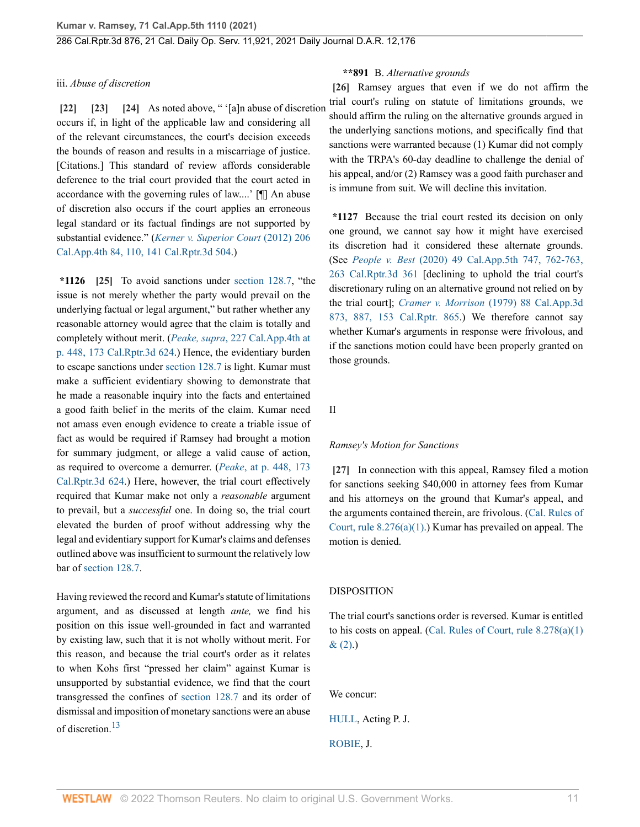#### iii. *Abuse of discretion*

<span id="page-10-2"></span><span id="page-10-1"></span><span id="page-10-0"></span>**[\[22\]](#page-3-1) [\[23\]](#page-3-2) [\[24\]](#page-3-3)** As noted above, " '[a]n abuse of discretion occurs if, in light of the applicable law and considering all of the relevant circumstances, the court's decision exceeds the bounds of reason and results in a miscarriage of justice. [Citations.] This standard of review affords considerable deference to the trial court provided that the court acted in accordance with the governing rules of law....' [¶] An abuse of discretion also occurs if the court applies an erroneous legal standard or its factual findings are not supported by substantial evidence." (*[Kerner v. Superior Court](http://www.westlaw.com/Link/Document/FullText?findType=Y&serNum=2027730366&pubNum=0004041&originatingDoc=I0bc138e0516211ec9a6bc126e12e934d&refType=RP&fi=co_pp_sp_4041_110&originationContext=document&vr=3.0&rs=cblt1.0&transitionType=DocumentItem&contextData=(sc.History*oc.CustomDigest)#co_pp_sp_4041_110)* (2012) 206 [Cal.App.4th 84, 110, 141 Cal.Rptr.3d 504](http://www.westlaw.com/Link/Document/FullText?findType=Y&serNum=2027730366&pubNum=0004041&originatingDoc=I0bc138e0516211ec9a6bc126e12e934d&refType=RP&fi=co_pp_sp_4041_110&originationContext=document&vr=3.0&rs=cblt1.0&transitionType=DocumentItem&contextData=(sc.History*oc.CustomDigest)#co_pp_sp_4041_110).)

<span id="page-10-3"></span>**\*1126 [\[25\]](#page-3-4)** To avoid sanctions under [section 128.7,](http://www.westlaw.com/Link/Document/FullText?findType=L&pubNum=1000201&cite=CACPS128.7&originatingDoc=I0bc138e0516211ec9a6bc126e12e934d&refType=LQ&originationContext=document&vr=3.0&rs=cblt1.0&transitionType=DocumentItem&contextData=(sc.History*oc.CustomDigest)) "the issue is not merely whether the party would prevail on the underlying factual or legal argument," but rather whether any reasonable attorney would agree that the claim is totally and completely without merit. (*Peake, supra*[, 227 Cal.App.4th at](http://www.westlaw.com/Link/Document/FullText?findType=Y&serNum=2033673774&pubNum=0004041&originatingDoc=I0bc138e0516211ec9a6bc126e12e934d&refType=RP&fi=co_pp_sp_4041_448&originationContext=document&vr=3.0&rs=cblt1.0&transitionType=DocumentItem&contextData=(sc.History*oc.CustomDigest)#co_pp_sp_4041_448) [p. 448, 173 Cal.Rptr.3d 624.](http://www.westlaw.com/Link/Document/FullText?findType=Y&serNum=2033673774&pubNum=0004041&originatingDoc=I0bc138e0516211ec9a6bc126e12e934d&refType=RP&fi=co_pp_sp_4041_448&originationContext=document&vr=3.0&rs=cblt1.0&transitionType=DocumentItem&contextData=(sc.History*oc.CustomDigest)#co_pp_sp_4041_448)) Hence, the evidentiary burden to escape sanctions under [section 128.7](http://www.westlaw.com/Link/Document/FullText?findType=L&pubNum=1000201&cite=CACPS128.7&originatingDoc=I0bc138e0516211ec9a6bc126e12e934d&refType=LQ&originationContext=document&vr=3.0&rs=cblt1.0&transitionType=DocumentItem&contextData=(sc.History*oc.CustomDigest)) is light. Kumar must make a sufficient evidentiary showing to demonstrate that he made a reasonable inquiry into the facts and entertained a good faith belief in the merits of the claim. Kumar need not amass even enough evidence to create a triable issue of fact as would be required if Ramsey had brought a motion for summary judgment, or allege a valid cause of action, as required to overcome a demurrer. (*Peake*[, at p. 448, 173](http://www.westlaw.com/Link/Document/FullText?findType=Y&serNum=2033673774&pubNum=0004041&originatingDoc=I0bc138e0516211ec9a6bc126e12e934d&refType=RP&fi=co_pp_sp_4041_448&originationContext=document&vr=3.0&rs=cblt1.0&transitionType=DocumentItem&contextData=(sc.History*oc.CustomDigest)#co_pp_sp_4041_448) [Cal.Rptr.3d 624.](http://www.westlaw.com/Link/Document/FullText?findType=Y&serNum=2033673774&pubNum=0004041&originatingDoc=I0bc138e0516211ec9a6bc126e12e934d&refType=RP&fi=co_pp_sp_4041_448&originationContext=document&vr=3.0&rs=cblt1.0&transitionType=DocumentItem&contextData=(sc.History*oc.CustomDigest)#co_pp_sp_4041_448)) Here, however, the trial court effectively required that Kumar make not only a *reasonable* argument to prevail, but a *successful* one. In doing so, the trial court elevated the burden of proof without addressing why the legal and evidentiary support for Kumar's claims and defenses outlined above was insufficient to surmount the relatively low bar of [section 128.7](http://www.westlaw.com/Link/Document/FullText?findType=L&pubNum=1000201&cite=CACPS128.7&originatingDoc=I0bc138e0516211ec9a6bc126e12e934d&refType=LQ&originationContext=document&vr=3.0&rs=cblt1.0&transitionType=DocumentItem&contextData=(sc.History*oc.CustomDigest)).

<span id="page-10-6"></span>Having reviewed the record and Kumar's statute of limitations argument, and as discussed at length *ante,* we find his position on this issue well-grounded in fact and warranted by existing law, such that it is not wholly without merit. For this reason, and because the trial court's order as it relates to when Kohs first "pressed her claim" against Kumar is unsupported by substantial evidence, we find that the court transgressed the confines of [section 128.7](http://www.westlaw.com/Link/Document/FullText?findType=L&pubNum=1000201&cite=CACPS128.7&originatingDoc=I0bc138e0516211ec9a6bc126e12e934d&refType=LQ&originationContext=document&vr=3.0&rs=cblt1.0&transitionType=DocumentItem&contextData=(sc.History*oc.CustomDigest)) and its order of dismissal and imposition of monetary sanctions were an abuse of discretion.<sup>[13](#page-11-12)</sup>

#### <span id="page-10-4"></span>**\*\*891** B. *Alternative grounds*

**[\[26\]](#page-3-0)** Ramsey argues that even if we do not affirm the trial court's ruling on statute of limitations grounds, we should affirm the ruling on the alternative grounds argued in the underlying sanctions motions, and specifically find that sanctions were warranted because (1) Kumar did not comply with the TRPA's 60-day deadline to challenge the denial of his appeal, and/or (2) Ramsey was a good faith purchaser and is immune from suit. We will decline this invitation.

**\*1127** Because the trial court rested its decision on only one ground, we cannot say how it might have exercised its discretion had it considered these alternate grounds. (See *People v. Best* [\(2020\) 49 Cal.App.5th 747, 762-763,](http://www.westlaw.com/Link/Document/FullText?findType=Y&serNum=2051153504&pubNum=0007053&originatingDoc=I0bc138e0516211ec9a6bc126e12e934d&refType=RP&fi=co_pp_sp_7053_762&originationContext=document&vr=3.0&rs=cblt1.0&transitionType=DocumentItem&contextData=(sc.History*oc.CustomDigest)#co_pp_sp_7053_762) [263 Cal.Rptr.3d 361](http://www.westlaw.com/Link/Document/FullText?findType=Y&serNum=2051153504&pubNum=0007053&originatingDoc=I0bc138e0516211ec9a6bc126e12e934d&refType=RP&fi=co_pp_sp_7053_762&originationContext=document&vr=3.0&rs=cblt1.0&transitionType=DocumentItem&contextData=(sc.History*oc.CustomDigest)#co_pp_sp_7053_762) [declining to uphold the trial court's discretionary ruling on an alternative ground not relied on by the trial court]; *Cramer v. Morrison* [\(1979\) 88 Cal.App.3d](http://www.westlaw.com/Link/Document/FullText?findType=Y&serNum=1979101209&pubNum=0000226&originatingDoc=I0bc138e0516211ec9a6bc126e12e934d&refType=RP&fi=co_pp_sp_226_887&originationContext=document&vr=3.0&rs=cblt1.0&transitionType=DocumentItem&contextData=(sc.History*oc.CustomDigest)#co_pp_sp_226_887) [873, 887, 153 Cal.Rptr. 865.](http://www.westlaw.com/Link/Document/FullText?findType=Y&serNum=1979101209&pubNum=0000226&originatingDoc=I0bc138e0516211ec9a6bc126e12e934d&refType=RP&fi=co_pp_sp_226_887&originationContext=document&vr=3.0&rs=cblt1.0&transitionType=DocumentItem&contextData=(sc.History*oc.CustomDigest)#co_pp_sp_226_887)) We therefore cannot say whether Kumar's arguments in response were frivolous, and if the sanctions motion could have been properly granted on those grounds.

II

#### *Ramsey's Motion for Sanctions*

<span id="page-10-5"></span>**[\[27\]](#page-3-5)** In connection with this appeal, Ramsey filed a motion for sanctions seeking \$40,000 in attorney fees from Kumar and his attorneys on the ground that Kumar's appeal, and the arguments contained therein, are frivolous. ([Cal. Rules of](http://www.westlaw.com/Link/Document/FullText?findType=L&pubNum=1085232&cite=CASTAPPLLR8.276&originatingDoc=I0bc138e0516211ec9a6bc126e12e934d&refType=LQ&originationContext=document&vr=3.0&rs=cblt1.0&transitionType=DocumentItem&contextData=(sc.History*oc.CustomDigest)) [Court, rule 8.276\(a\)\(1\).](http://www.westlaw.com/Link/Document/FullText?findType=L&pubNum=1085232&cite=CASTAPPLLR8.276&originatingDoc=I0bc138e0516211ec9a6bc126e12e934d&refType=LQ&originationContext=document&vr=3.0&rs=cblt1.0&transitionType=DocumentItem&contextData=(sc.History*oc.CustomDigest))) Kumar has prevailed on appeal. The motion is denied.

#### DISPOSITION

The trial court's sanctions order is reversed. Kumar is entitled to his costs on appeal. [\(Cal. Rules of Court, rule 8.278\(a\)\(1\)](http://www.westlaw.com/Link/Document/FullText?findType=L&pubNum=1085232&cite=CASTAPPLLR8.278&originatingDoc=I0bc138e0516211ec9a6bc126e12e934d&refType=LQ&originationContext=document&vr=3.0&rs=cblt1.0&transitionType=DocumentItem&contextData=(sc.History*oc.CustomDigest))  $& (2).$ 

We concur:

[HULL,](http://www.westlaw.com/Link/Document/FullText?findType=h&pubNum=176284&cite=0201358401&originatingDoc=I0bc138e0516211ec9a6bc126e12e934d&refType=RQ&originationContext=document&vr=3.0&rs=cblt1.0&transitionType=DocumentItem&contextData=(sc.History*oc.CustomDigest)) Acting P. J.

[ROBIE,](http://www.westlaw.com/Link/Document/FullText?findType=h&pubNum=176284&cite=0125550201&originatingDoc=I0bc138e0516211ec9a6bc126e12e934d&refType=RQ&originationContext=document&vr=3.0&rs=cblt1.0&transitionType=DocumentItem&contextData=(sc.History*oc.CustomDigest)) J.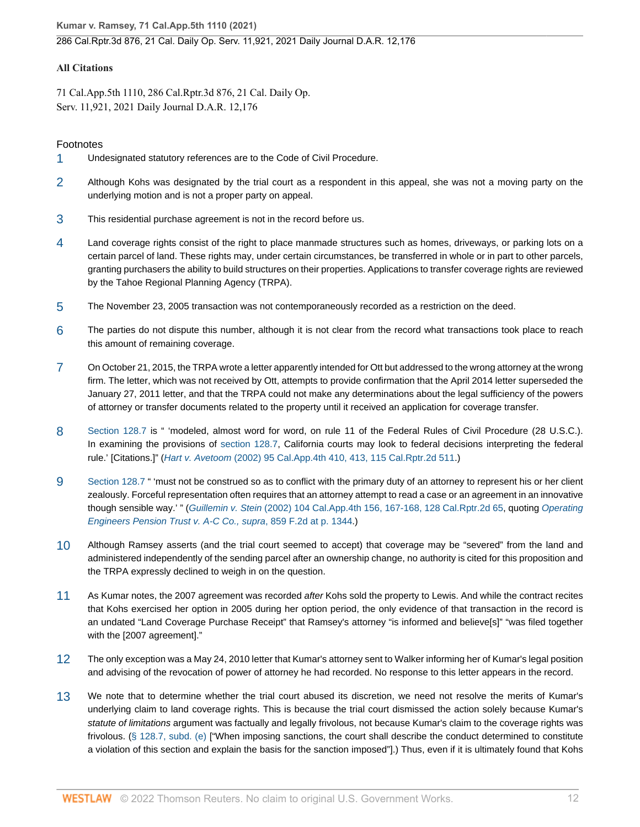**Kumar v. Ramsey, 71 Cal.App.5th 1110 (2021)**

### 286 Cal.Rptr.3d 876, 21 Cal. Daily Op. Serv. 11,921, 2021 Daily Journal D.A.R. 12,176

### **All Citations**

71 Cal.App.5th 1110, 286 Cal.Rptr.3d 876, 21 Cal. Daily Op. Serv. 11,921, 2021 Daily Journal D.A.R. 12,176

### Footnotes

- <span id="page-11-0"></span>[1](#page-3-6) Undesignated statutory references are to the Code of Civil Procedure.
- <span id="page-11-1"></span>[2](#page-4-0) Although Kohs was designated by the trial court as a respondent in this appeal, she was not a moving party on the underlying motion and is not a proper party on appeal.
- <span id="page-11-2"></span>[3](#page-4-1) This residential purchase agreement is not in the record before us.
- <span id="page-11-3"></span>[4](#page-4-2) Land coverage rights consist of the right to place manmade structures such as homes, driveways, or parking lots on a certain parcel of land. These rights may, under certain circumstances, be transferred in whole or in part to other parcels, granting purchasers the ability to build structures on their properties. Applications to transfer coverage rights are reviewed by the Tahoe Regional Planning Agency (TRPA).
- <span id="page-11-4"></span>[5](#page-4-3) The November 23, 2005 transaction was not contemporaneously recorded as a restriction on the deed.
- <span id="page-11-5"></span>[6](#page-5-0) The parties do not dispute this number, although it is not clear from the record what transactions took place to reach this amount of remaining coverage.
- <span id="page-11-6"></span>[7](#page-5-1) On October 21, 2015, the TRPA wrote a letter apparently intended for Ott but addressed to the wrong attorney at the wrong firm. The letter, which was not received by Ott, attempts to provide confirmation that the April 2014 letter superseded the January 27, 2011 letter, and that the TRPA could not make any determinations about the legal sufficiency of the powers of attorney or transfer documents related to the property until it received an application for coverage transfer.
- <span id="page-11-7"></span>[8](#page-7-13) [Section 128.7](http://www.westlaw.com/Link/Document/FullText?findType=L&pubNum=1000201&cite=CACPS128.7&originatingDoc=I0bc138e0516211ec9a6bc126e12e934d&refType=LQ&originationContext=document&vr=3.0&rs=cblt1.0&transitionType=DocumentItem&contextData=(sc.History*oc.CustomDigest)) is " 'modeled, almost word for word, on rule 11 of the Federal Rules of Civil Procedure (28 U.S.C.). In examining the provisions of [section 128.7,](http://www.westlaw.com/Link/Document/FullText?findType=L&pubNum=1000201&cite=CACPS128.7&originatingDoc=I0bc138e0516211ec9a6bc126e12e934d&refType=LQ&originationContext=document&vr=3.0&rs=cblt1.0&transitionType=DocumentItem&contextData=(sc.History*oc.CustomDigest)) California courts may look to federal decisions interpreting the federal rule.' [Citations.]" (Hart v. Avetoom [\(2002\) 95 Cal.App.4th 410, 413, 115 Cal.Rptr.2d 511](http://www.westlaw.com/Link/Document/FullText?findType=Y&serNum=2002075544&pubNum=0004041&originatingDoc=I0bc138e0516211ec9a6bc126e12e934d&refType=RP&fi=co_pp_sp_4041_413&originationContext=document&vr=3.0&rs=cblt1.0&transitionType=DocumentItem&contextData=(sc.History*oc.CustomDigest)#co_pp_sp_4041_413).)
- <span id="page-11-8"></span>[9](#page-7-14) [Section 128.7](http://www.westlaw.com/Link/Document/FullText?findType=L&pubNum=1000201&cite=CACPS128.7&originatingDoc=I0bc138e0516211ec9a6bc126e12e934d&refType=LQ&originationContext=document&vr=3.0&rs=cblt1.0&transitionType=DocumentItem&contextData=(sc.History*oc.CustomDigest)) " 'must not be construed so as to conflict with the primary duty of an attorney to represent his or her client zealously. Forceful representation often requires that an attorney attempt to read a case or an agreement in an innovative though sensible way.'" (Guillemin v. Stein [\(2002\) 104 Cal.App.4th 156, 167-168, 128 Cal.Rptr.2d 65,](http://www.westlaw.com/Link/Document/FullText?findType=Y&serNum=2002764508&pubNum=0004041&originatingDoc=I0bc138e0516211ec9a6bc126e12e934d&refType=RP&fi=co_pp_sp_4041_167&originationContext=document&vr=3.0&rs=cblt1.0&transitionType=DocumentItem&contextData=(sc.History*oc.CustomDigest)#co_pp_sp_4041_167) quoting [Operating](http://www.westlaw.com/Link/Document/FullText?findType=Y&serNum=1988096281&pubNum=0000350&originatingDoc=I0bc138e0516211ec9a6bc126e12e934d&refType=RP&fi=co_pp_sp_350_1344&originationContext=document&vr=3.0&rs=cblt1.0&transitionType=DocumentItem&contextData=(sc.History*oc.CustomDigest)#co_pp_sp_350_1344) [Engineers Pension Trust v. A-C Co., supra](http://www.westlaw.com/Link/Document/FullText?findType=Y&serNum=1988096281&pubNum=0000350&originatingDoc=I0bc138e0516211ec9a6bc126e12e934d&refType=RP&fi=co_pp_sp_350_1344&originationContext=document&vr=3.0&rs=cblt1.0&transitionType=DocumentItem&contextData=(sc.History*oc.CustomDigest)#co_pp_sp_350_1344), 859 F.2d at p. 1344.)
- <span id="page-11-9"></span>[10](#page-9-1) Although Ramsey asserts (and the trial court seemed to accept) that coverage may be "severed" from the land and administered independently of the sending parcel after an ownership change, no authority is cited for this proposition and the TRPA expressly declined to weigh in on the question.
- <span id="page-11-10"></span>[11](#page-9-2) As Kumar notes, the 2007 agreement was recorded after Kohs sold the property to Lewis. And while the contract recites that Kohs exercised her option in 2005 during her option period, the only evidence of that transaction in the record is an undated "Land Coverage Purchase Receipt" that Ramsey's attorney "is informed and believe[s]" "was filed together with the [2007 agreement]."
- <span id="page-11-11"></span>[12](#page-9-3) The only exception was a May 24, 2010 letter that Kumar's attorney sent to Walker informing her of Kumar's legal position and advising of the revocation of power of attorney he had recorded. No response to this letter appears in the record.
- <span id="page-11-12"></span>[13](#page-10-6) We note that to determine whether the trial court abused its discretion, we need not resolve the merits of Kumar's underlying claim to land coverage rights. This is because the trial court dismissed the action solely because Kumar's statute of limitations argument was factually and legally frivolous, not because Kumar's claim to the coverage rights was frivolous. ([§ 128.7, subd. \(e\)](http://www.westlaw.com/Link/Document/FullText?findType=L&pubNum=1000201&cite=CACPS128.7&originatingDoc=I0bc138e0516211ec9a6bc126e12e934d&refType=SP&originationContext=document&vr=3.0&rs=cblt1.0&transitionType=DocumentItem&contextData=(sc.History*oc.CustomDigest)#co_pp_7fdd00001ca15) ["When imposing sanctions, the court shall describe the conduct determined to constitute a violation of this section and explain the basis for the sanction imposed"].) Thus, even if it is ultimately found that Kohs